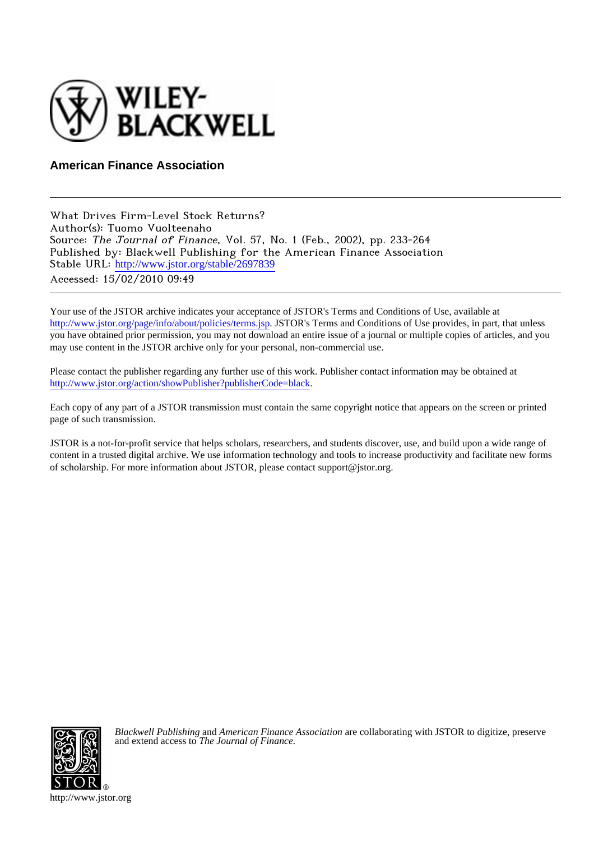

**American Finance Association**

What Drives Firm-Level Stock Returns? Author(s): Tuomo Vuolteenaho Source: The Journal of Finance, Vol. 57, No. 1 (Feb., 2002), pp. 233-264 Published by: Blackwell Publishing for the American Finance Association Stable URL: [http://www.jstor.org/stable/2697839](http://www.jstor.org/stable/2697839?origin=JSTOR-pdf) Accessed: 15/02/2010 09:49

Your use of the JSTOR archive indicates your acceptance of JSTOR's Terms and Conditions of Use, available at <http://www.jstor.org/page/info/about/policies/terms.jsp>. JSTOR's Terms and Conditions of Use provides, in part, that unless you have obtained prior permission, you may not download an entire issue of a journal or multiple copies of articles, and you may use content in the JSTOR archive only for your personal, non-commercial use.

Please contact the publisher regarding any further use of this work. Publisher contact information may be obtained at [http://www.jstor.org/action/showPublisher?publisherCode=black.](http://www.jstor.org/action/showPublisher?publisherCode=black)

Each copy of any part of a JSTOR transmission must contain the same copyright notice that appears on the screen or printed page of such transmission.

JSTOR is a not-for-profit service that helps scholars, researchers, and students discover, use, and build upon a wide range of content in a trusted digital archive. We use information technology and tools to increase productivity and facilitate new forms of scholarship. For more information about JSTOR, please contact support@jstor.org.



*Blackwell Publishing* and *American Finance Association* are collaborating with JSTOR to digitize, preserve and extend access to *The Journal of Finance.*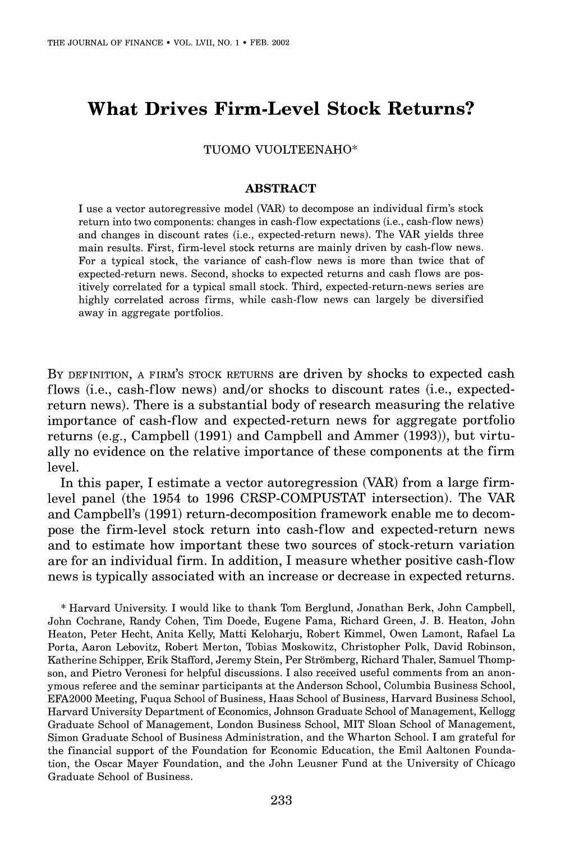# **What Drives Firm-Level Stock Returns?**

**TUOMO VUOLTEENAHO\*** 

### **ABSTRACT**

**I use a vector autoregressive model (VAR) to decompose an individual firm's stock return into two components: changes in cash-flow expectations (i.e., cash-flow news) and changes in discount rates (i.e., expected-return news). The VAR yields three main results. First, firm-level stock returns are mainly driven by cash-flow news. For a typical stock, the variance of cash-flow news is more than twice that of expected-return news. Second, shocks to expected returns and cash flows are positively correlated for a typical small stock. Third, expected-return-news series are highly correlated across firms, while cash-flow news can largely be diversified away in aggregate portfolios.** 

**BY DEFINITION, A FIRM'S STOCK RETURNS are driven by shocks to expected cash flows (i.e., cash-flow news) and/or shocks to discount rates (i.e., expectedreturn news). There is a substantial body of research measuring the relative importance of cash-flow and expected-return news for aggregate portfolio returns (e.g., Campbell (1991) and Campbell and Ammer (1993)), but virtually no evidence on the relative importance of these components at the firm level.** 

**In this paper, I estimate a vector autoregression (VAR) from a large firmlevel panel (the 1954 to 1996 CRSP-COMPUSTAT intersection). The VAR and Campbell's (1991) return-decomposition framework enable me to decompose the firm-level stock return into cash-flow and expected-return news and to estimate how important these two sources of stock-return variation are for an individual firm. In addition, I measure whether positive cash-flow news is typically associated with an increase or decrease in expected returns.** 

**\* Harvard University. I would like to thank Tom Berglund, Jonathan Berk, John Campbell, John Cochrane, Randy Cohen, Tim Doede, Eugene Fama, Richard Green, J. B. Heaton, John Heaton, Peter Hecht, Anita Kelly, Matti Keloharju, Robert Kimmel, Owen Lamont, Rafael La Porta, Aaron Lebovitz, Robert Merton, Tobias Moskowitz, Christopher Polk, David Robinson, Katherine Schipper, Erik Stafford, Jeremy Stein, Per Stromberg, Richard Thaler, Samuel Thompson, and Pietro Veronesi for helpful discussions. I also received useful comments from an anonymous referee and the seminar participants at the Anderson School, Columbia Business School, EFA2000 Meeting, Fuqua School of Business, Haas School of Business, Harvard Business School, Harvard University Department of Economics, Johnson Graduate School of Management, Kellogg Graduate School of Management, London Business School, MIT Sloan School of Management, Simon Graduate School of Business Administration, and the Wharton School. I am grateful for the financial support of the Foundation for Economic Education, the Emil Aaltonen Foundation, the Oscar Mayer Foundation, and the John Leusner Fund at the University of Chicago Graduate School of Business.**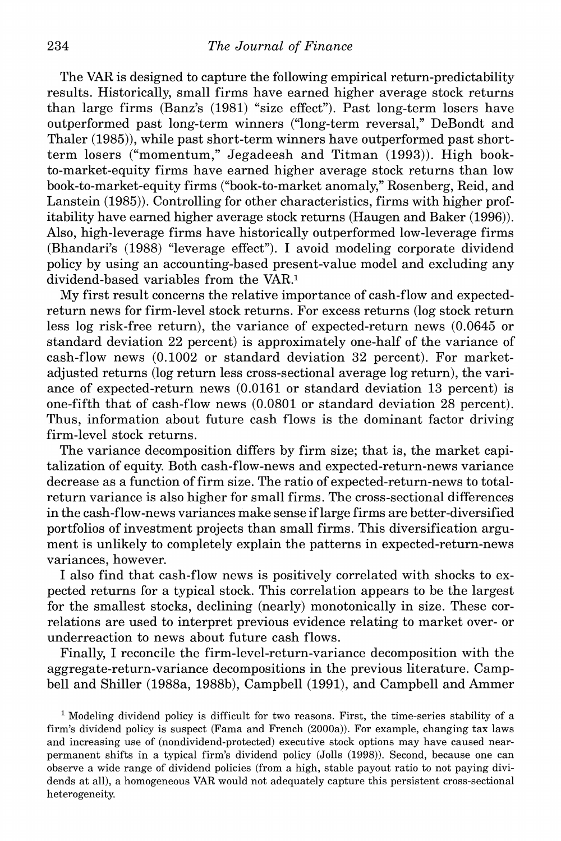**The VAR is designed to capture the following empirical return-predictability results. Historically, small firms have earned higher average stock returns than large firms (Banz's (1981) "size effect"). Past long-term losers have outperformed past long-term winners ("long-term reversal," DeBondt and Thaler (1985)), while past short-term winners have outperformed past shortterm losers ("momentum," Jegadeesh and Titman (1993)). High bookto-market-equity firms have earned higher average stock returns than low book-to-market-equity firms ("book-to-market anomaly," Rosenberg, Reid, and Lanstein (1985)). Controlling for other characteristics, firms with higher profitability have earned higher average stock returns (Haugen and Baker (1996)). Also, high-leverage firms have historically outperformed low-leverage firms (Bhandari's (1988) "leverage effect"). I avoid modeling corporate dividend policy by using an accounting-based present-value model and excluding any dividend-based variables from the VAR.1** 

**My first result concerns the relative importance of cash-flow and expectedreturn news for firm-level stock returns. For excess returns (log stock return less log risk-free return), the variance of expected-return news (0.0645 or standard deviation 22 percent) is approximately one-half of the variance of cash-flow news (0.1002 or standard deviation 32 percent). For marketadjusted returns (log return less cross-sectional average log return), the variance of expected-return news (0.0161 or standard deviation 13 percent) is one-fifth that of cash-flow news (0.0801 or standard deviation 28 percent). Thus, information about future cash flows is the dominant factor driving firm-level stock returns.** 

**The variance decomposition differs by firm size; that is, the market capitalization of equity. Both cash-flow-news and expected-return-news variance decrease as a function of firm size. The ratio of expected-return-news to totalreturn variance is also higher for small firms. The cross-sectional differences in the cash-flow-news variances make sense if large firms are better-diversified portfolios of investment projects than small firms. This diversification argument is unlikely to completely explain the patterns in expected-return-news variances, however.** 

**I also find that cash-flow news is positively correlated with shocks to expected returns for a typical stock. This correlation appears to be the largest for the smallest stocks, declining (nearly) monotonically in size. These correlations are used to interpret previous evidence relating to market over- or underreaction to news about future cash flows.** 

**Finally, I reconcile the firm-level-return-variance decomposition with the aggregate-return-variance decompositions in the previous literature. Campbell and Shiller (1988a, 1988b), Campbell (1991), and Campbell and Ammer** 

**1 Modeling dividend policy is difficult for two reasons. First, the time-series stability of a firm's dividend policy is suspect (Fama and French (2000a)). For example, changing tax laws and increasing use of (nondividend-protected) executive stock options may have caused nearpermanent shifts in a typical firm's dividend policy (Jolls (1998)). Second, because one can observe a wide range of dividend policies (from a high, stable payout ratio to not paying dividends at all), a homogeneous VAR would not adequately capture this persistent cross-sectional heterogeneity.**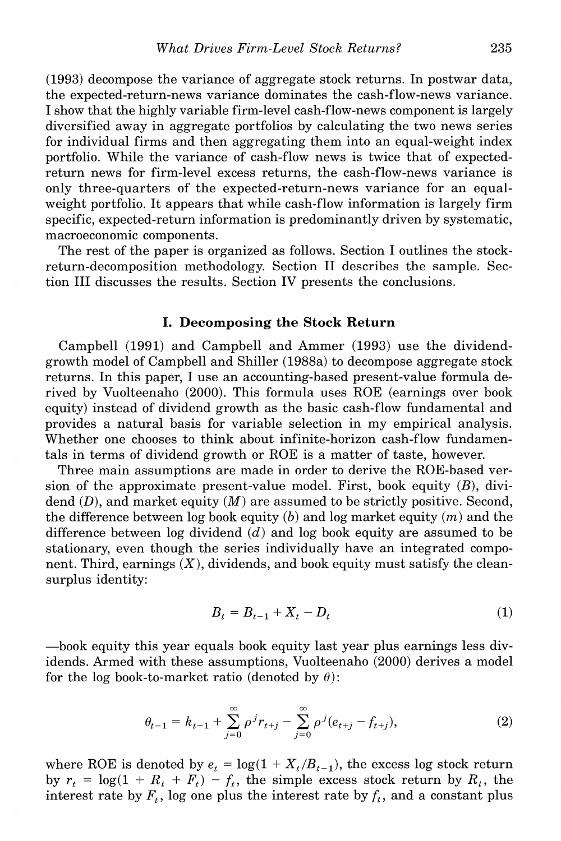**(1993) decompose the variance of aggregate stock returns. In postwar data, the expected-return-news variance dominates the cash-flow-news variance. I show that the highly variable firm-level cash-flow-news component is largely diversified away in aggregate portfolios by calculating the two news series for individual firms and then aggregating them into an equal-weight index portfolio. While the variance of cash-flow news is twice that of expectedreturn news for firm-level excess returns, the cash-flow-news variance is only three-quarters of the expected-return-news variance for an equalweight portfolio. It appears that while cash-flow information is largely firm specific, expected-return information is predominantly driven by systematic, macroeconomic components.** 

**The rest of the paper is organized as follows. Section I outlines the stockreturn-decomposition methodology. Section II describes the sample. Section III discusses the results. Section IV presents the conclusions.** 

# **I. Decomposing the Stock Return**

**Campbell (1991) and Campbell and Ammer (1993) use the dividendgrowth model of Campbell and Shiller (1988a) to decompose aggregate stock returns. In this paper, I use an accounting-based present-value formula derived by Vuolteenaho (2000). This formula uses ROE (earnings over book equity) instead of dividend growth as the basic cash-flow fundamental and provides a natural basis for variable selection in my empirical analysis. Whether one chooses to think about infinite-horizon cash-flow fundamentals in terms of dividend growth or ROE is a matter of taste, however.** 

**Three main assumptions are made in order to derive the ROE-based version of the approximate present-value model. First, book equity (B), dividend (D), and market equity (M) are assumed to be strictly positive. Second,**  the difference between log book equity  $(b)$  and log market equity  $(m)$  and the **difference between log dividend (d) and log book equity are assumed to be stationary, even though the series individually have an integrated component. Third, earnings (X), dividends, and book equity must satisfy the cleansurplus identity:** 

$$
B_t = B_{t-1} + X_t - D_t \tag{1}
$$

**-book equity this year equals book equity last year plus earnings less dividends. Armed with these assumptions, Vuolteenaho (2000) derives a model**  for the log book-to-market ratio (denoted by  $\theta$ ):

$$
\theta_{t-1} = k_{t-1} + \sum_{j=0}^{\infty} \rho^j r_{t+j} - \sum_{j=0}^{\infty} \rho^j (e_{t+j} - f_{t+j}), \tag{2}
$$

where ROE is denoted by  $e_t = \log(1 + X_t/B_{t-1})$ , the excess log stock return by  $r_t = \log(1 + R_t + F_t) - f_t$ , the simple excess stock return by  $R_t$ , the interest rate by  $F_t$ , log one plus the interest rate by  $f_t$ , and a constant plus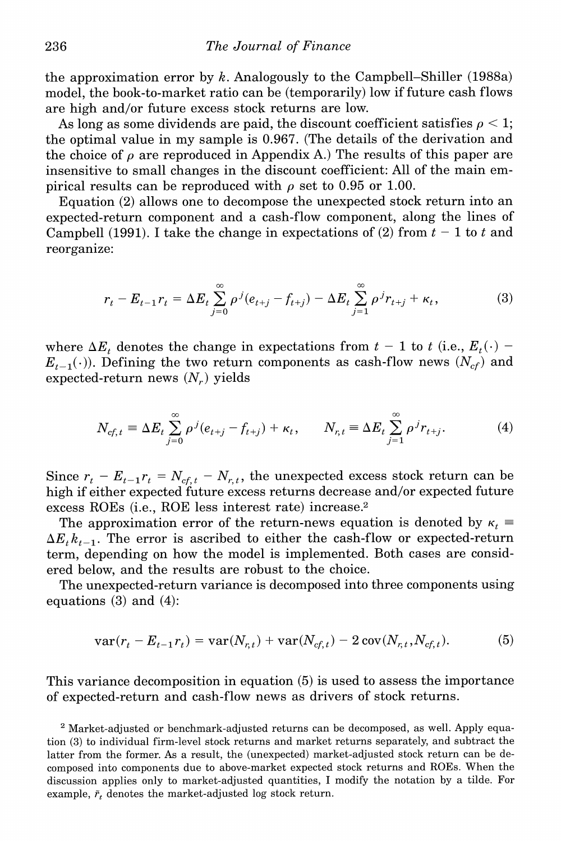**the approximation error by k. Analogously to the Campbell-Shiller (1988a) model, the book-to-market ratio can be (temporarily) low if future cash flows are high and/or future excess stock returns are low.** 

As long as some dividends are paid, the discount coefficient satisfies  $\rho < 1$ ; **the optimal value in my sample is 0.967. (The details of the derivation and**  the choice of  $\rho$  are reproduced in Appendix A.) The results of this paper are **insensitive to small changes in the discount coefficient: All of the main em**pirical results can be reproduced with  $\rho$  set to 0.95 or 1.00.

**Equation (2) allows one to decompose the unexpected stock return into an expected-return component and a cash-flow component, along the lines of**  Campbell (1991). I take the change in expectations of (2) from  $t-1$  to t and **reorganize:** 

$$
r_{t} - E_{t-1}r_{t} = \Delta E_{t} \sum_{j=0}^{\infty} \rho^{j}(e_{t+j} - f_{t+j}) - \Delta E_{t} \sum_{j=1}^{\infty} \rho^{j}r_{t+j} + \kappa_{t},
$$
(3)

where  $\Delta E_t$  denotes the change in expectations from  $t-1$  to t (i.e.,  $E_t(\cdot)$  - $E_{t-1}(\cdot)$ ). Defining the two return components as cash-flow news  $(N_{cf})$  and  $e$ xpected-return news  $(N_r)$  yields

$$
N_{cf,t} = \Delta E_t \sum_{j=0}^{\infty} \rho^j (e_{t+j} - f_{t+j}) + \kappa_t, \qquad N_{r,t} = \Delta E_t \sum_{j=1}^{\infty} \rho^j r_{t+j}.
$$
 (4)

Since  $r_t - E_{t-1}r_t = N_{cf,t} - N_{r,t}$ , the unexpected excess stock return can be **high if either expected future excess returns decrease and/or expected future excess ROEs (i.e., ROE less interest rate) increase.2** 

The approximation error of the return-news equation is denoted by  $\kappa_t$  $\Delta E_t k_{t-1}$ . The error is ascribed to either the cash-flow or expected-return **term, depending on how the model is implemented. Both cases are considered below, and the results are robust to the choice.** 

**The unexpected-return variance is decomposed into three components using equations (3) and (4):** 

$$
var(r_t - E_{t-1}r_t) = var(N_{r,t}) + var(N_{cf,t}) - 2 cov(N_{r,t}, N_{cf,t}).
$$
 (5)

**This variance decomposition in equation (5) is used to assess the importance of expected-return and cash-flow news as drivers of stock returns.** 

**2 Market-adjusted or benchmark-adjusted returns can be decomposed, as well. Apply equation (3) to individual firm-level stock returns and market returns separately, and subtract the latter from the former. As a result, the (unexpected) market-adjusted stock return can be decomposed into components due to above-market expected stock returns and ROEs. When the discussion applies only to market-adjusted quantities, I modify the notation by a tilde. For**  example,  $\tilde{r}_t$  denotes the market-adjusted log stock return.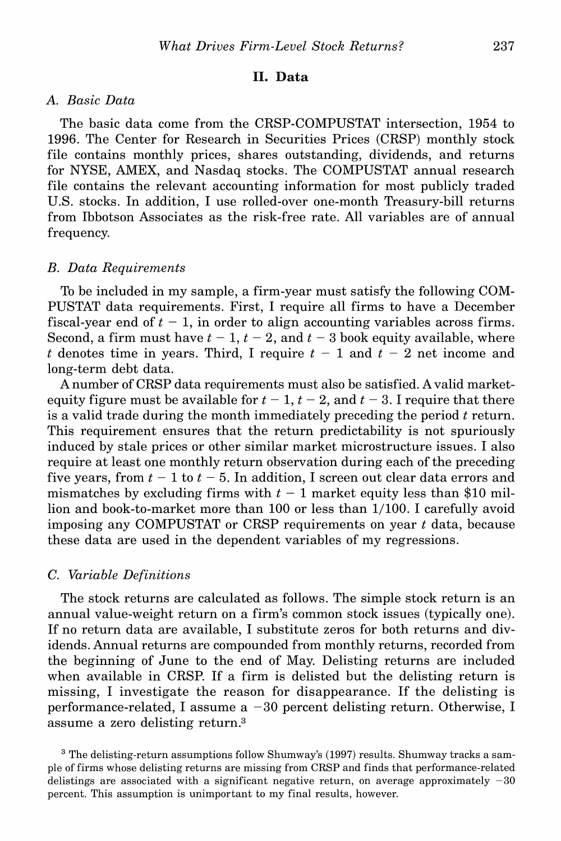# **II. Data**

# **A. Basic Data**

**The basic data come from the CRSP-COMPUSTAT intersection, 1954 to 1996. The Center for Research in Securities Prices (CRSP) monthly stock file contains monthly prices, shares outstanding, dividends, and returns for NYSE, AMEX, and Nasdaq stocks. The COMPUSTAT annual research file contains the relevant accounting information for most publicly traded U.S. stocks. In addition, I use rolled-over one-month Treasury-bill returns from Ibbotson Associates as the risk-free rate. All variables are of annual frequency.** 

# **B. Data Requirements**

**To be included in my sample, a firm-year must satisfy the following COM-PUSTAT data requirements. First, I require all firms to have a December**  fiscal-year end of  $t - 1$ , in order to align accounting variables across firms. Second, a firm must have  $t - 1$ ,  $t - 2$ , and  $t - 3$  book equity available, where t denotes time in years. Third, I require  $t - 1$  and  $t - 2$  net income and **long-term debt data.** 

**A number of CRSP data requirements must also be satisfied. A valid market**equity figure must be available for  $t - 1$ ,  $t - 2$ , and  $t - 3$ . I require that there is a valid trade during the month immediately preceding the period t return. **This requirement ensures that the return predictability is not spuriously induced by stale prices or other similar market microstructure issues. I also require at least one monthly return observation during each of the preceding**  five years, from  $t - 1$  to  $t - 5$ . In addition, I screen out clear data errors and mismatches by excluding firms with  $t-1$  market equity less than \$10 mil**lion and book-to-market more than 100 or less than 1/100. I carefully avoid imposing any COMPUSTAT or CRSP requirements on year t data, because these data are used in the dependent variables of my regressions.** 

# **C. Variable Definitions**

**The stock returns are calculated as follows. The simple stock return is an annual value-weight return on a firm's common stock issues (typically one). If no return data are available, I substitute zeros for both returns and dividends. Annual returns are compounded from monthly returns, recorded from the beginning of June to the end of May. Delisting returns are included when available in CRSP. If a firm is delisted but the delisting return is missing, I investigate the reason for disappearance. If the delisting is performance-related, I assume a -30 percent delisting return. Otherwise, I assume a zero delisting return.3** 

**3 The delisting-return assumptions follow Shumway's (1997) results. Shumway tracks a sample of firms whose delisting returns are missing from CRSP and finds that performance-related delistings are associated with a significant negative return, on average approximately -30 percent. This assumption is unimportant to my final results, however.**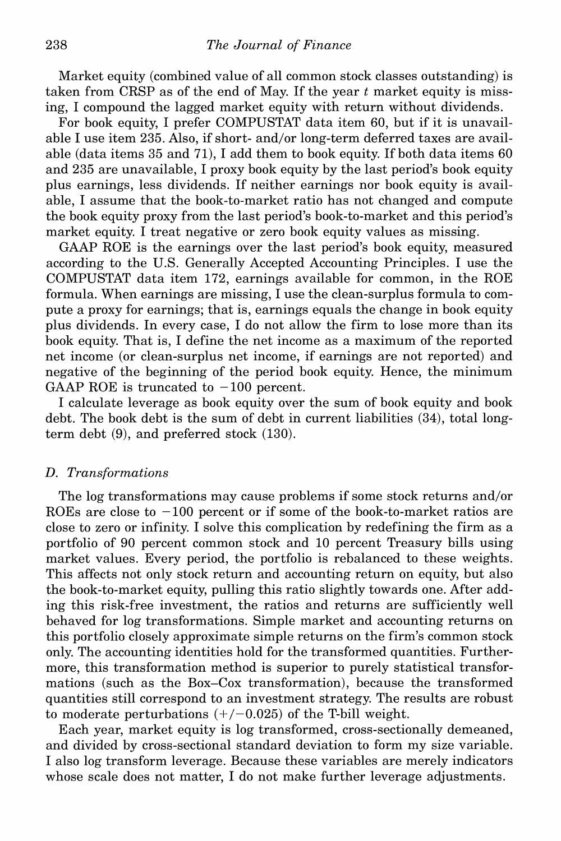**Market equity (combined value of all common stock classes outstanding) is taken from CRSP as of the end of May. If the year t market equity is missing, I compound the lagged market equity with return without dividends.** 

**For book equity, I prefer COMPUSTAT data item 60, but if it is unavailable I use item 235. Also, if short- and/or long-term deferred taxes are available (data items 35 and 71), I add them to book equity. If both data items 60 and 235 are unavailable, I proxy book equity by the last period's book equity plus earnings, less dividends. If neither earnings nor book equity is available, I assume that the book-to-market ratio has not changed and compute the book equity proxy from the last period's book-to-market and this period's market equity. I treat negative or zero book equity values as missing.** 

**GAAP ROE is the earnings over the last period's book equity, measured according to the U.S. Generally Accepted Accounting Principles. I use the COMPUSTAT data item 172, earnings available for common, in the ROE formula. When earnings are missing, I use the clean-surplus formula to compute a proxy for earnings; that is, earnings equals the change in book equity plus dividends. In every case, I do not allow the firm to lose more than its book equity. That is, I define the net income as a maximum of the reported net income (or clean-surplus net income, if earnings are not reported) and negative of the beginning of the period book equity. Hence, the minimum**  GAAP ROE is truncated to  $-100$  percent.

**I calculate leverage as book equity over the sum of book equity and book debt. The book debt is the sum of debt in current liabilities (34), total longterm debt (9), and preferred stock (130).** 

# **D. Transformations**

**The log transformations may cause problems if some stock returns and/or**  ROEs are close to  $-100$  percent or if some of the book-to-market ratios are **close to zero or infinity. I solve this complication by redefining the firm as a portfolio of 90 percent common stock and 10 percent Treasury bills using market values. Every period, the portfolio is rebalanced to these weights. This affects not only stock return and accounting return on equity, but also the book-to-market equity, pulling this ratio slightly towards one. After adding this risk-free investment, the ratios and returns are sufficiently well behaved for log transformations. Simple market and accounting returns on this portfolio closely approximate simple returns on the firm's common stock only. The accounting identities hold for the transformed quantities. Furthermore, this transformation method is superior to purely statistical transformations (such as the Box-Cox transformation), because the transformed quantities still correspond to an investment strategy. The results are robust**  to moderate perturbations  $(+/-0.025)$  of the T-bill weight.

**Each year, market equity is log transformed, cross-sectionally demeaned, and divided by cross-sectional standard deviation to form my size variable. I also log transform leverage. Because these variables are merely indicators whose scale does not matter, I do not make further leverage adjustments.**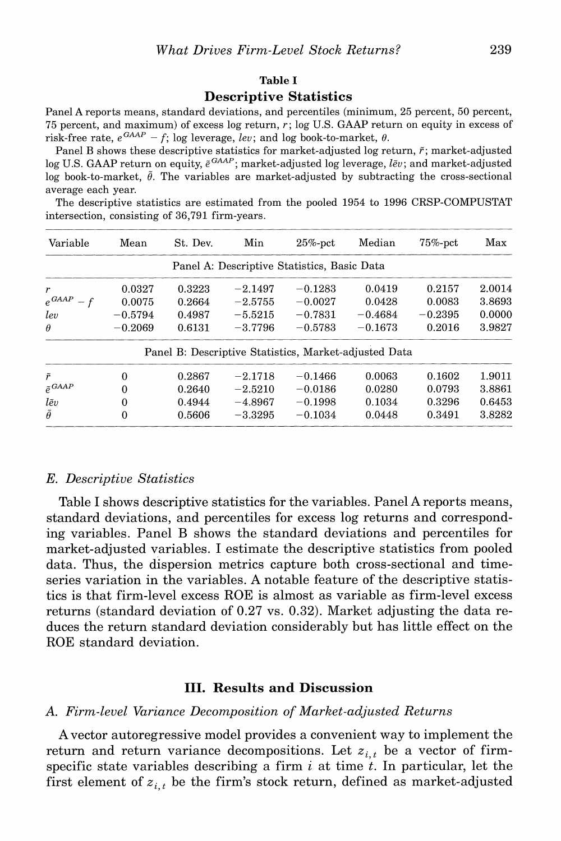#### **Table I**

# **Descriptive Statistics**

**Panel A reports means, standard deviations, and percentiles (minimum, 25 percent, 50 percent, 75 percent, and maximum) of excess log return, r; log U.S. GAAP return on equity in excess of**  risk-free rate,  $e^{GAAP} - f$ ; log leverage, *lev*; and log book-to-market,  $\theta$ .

Panel B shows these descriptive statistics for market-adjusted log return,  $\tilde{r}$ ; market-adjusted log U.S. GAAP return on equity,  $\tilde{e}^{GAAP}$ ; market-adjusted log leverage,  $l\tilde{e}v$ ; and market-adjusted log book-to-market,  $\tilde{\theta}$ . The variables are market-adjusted by subtracting the cross-sectional **average each year.** 

**The descriptive statistics are estimated from the pooled 1954 to 1996 CRSP-COMPUSTAT intersection, consisting of 36,791 firm-years.** 

| Variable                 | Mean      | St. Dev. | Min       | $25%$ -pct                                            | Median    | $75%$ -pct | Max    |
|--------------------------|-----------|----------|-----------|-------------------------------------------------------|-----------|------------|--------|
|                          |           |          |           | Panel A: Descriptive Statistics, Basic Data           |           |            |        |
| r                        | 0.0327    | 0.3223   | $-2.1497$ | $-0.1283$                                             | 0.0419    | 0.2157     | 2.0014 |
| $e^{G AAP}$<br>$-f$      | 0.0075    | 0.2664   | $-2.5755$ | $-0.0027$                                             | 0.0428    | 0.0083     | 3.8693 |
| lev                      | $-0.5794$ | 0.4987   | $-5.5215$ | $-0.7831$                                             | $-0.4684$ | $-0.2395$  | 0.0000 |
| $\theta$                 | $-0.2069$ | 0.6131   | $-3.7796$ | $-0.5783$                                             | $-0.1673$ | 0.2016     | 3.9827 |
|                          |           |          |           | Panel B: Descriptive Statistics, Market-adjusted Data |           |            |        |
| ř                        | $\theta$  | 0.2867   | $-2.1718$ | $-0.1466$                                             | 0.0063    | 0.1602     | 1.9011 |
| $\tilde{e}^{G\!A\!A\!P}$ | $\Omega$  | 0.2640   | $-2.5210$ | $-0.0186$                                             | 0.0280    | 0.0793     | 3.8861 |
| lẽv                      | 0         | 0.4944   | $-4.8967$ | $-0.1998$                                             | 0.1034    | 0.3296     | 0.6453 |
| $\tilde{\theta}$         | $\Omega$  | 0.5606   | $-3.3295$ | $-0.1034$                                             | 0.0448    | 0.3491     | 3.8282 |

# **E. Descriptive Statistics**

**Table I shows descriptive statistics for the variables. Panel A reports means, standard deviations, and percentiles for excess log returns and corresponding variables. Panel B shows the standard deviations and percentiles for market-adjusted variables. I estimate the descriptive statistics from pooled data. Thus, the dispersion metrics capture both cross-sectional and timeseries variation in the variables. A notable feature of the descriptive statistics is that firm-level excess ROE is almost as variable as firm-level excess returns (standard deviation of 0.27 vs. 0.32). Market adjusting the data reduces the return standard deviation considerably but has little effect on the ROE standard deviation.** 

# **III. Results and Discussion**

# **A. Firm-level Variance Decomposition of Market-adjusted Returns**

**A vector autoregressive model provides a convenient way to implement the return and return variance decompositions.** Let  $z_i$ , be a vector of firm**specific state variables describing a firm i at time t. In particular, let the**  first element of  $z_{i,t}$  be the firm's stock return, defined as market-adjusted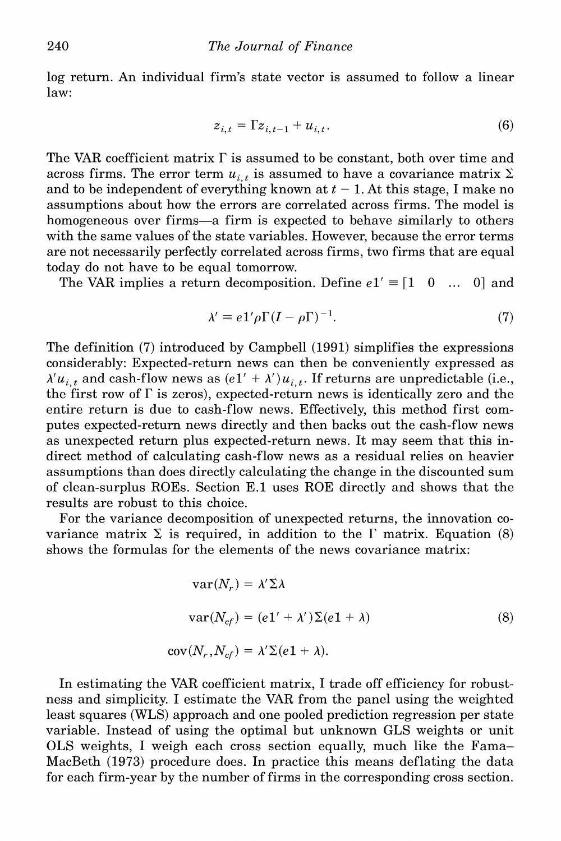**log return. An individual firm's state vector is assumed to follow a linear law:** 

$$
z_{i,t} = \Gamma z_{i,t-1} + u_{i,t}.\tag{6}
$$

**The VAR coefficient matrix F is assumed to be constant, both over time and**  across firms. The error term  $u_{i,t}$  is assumed to have a covariance matrix  $\Sigma$ and to be independent of everything known at  $t - 1$ . At this stage, I make no **assumptions about how the errors are correlated across firms. The model is homogeneous over firms-a firm is expected to behave similarly to others with the same values of the state variables. However, because the error terms are not necessarily perfectly correlated across firms, two firms that are equal today do not have to be equal tomorrow.** 

The VAR implies a return decomposition. Define  $e1' \equiv [1 \ 0 \ ... \ 0]$  and

$$
\lambda' \equiv e \, 1' \rho \Gamma (I - \rho \Gamma)^{-1}.\tag{7}
$$

**The definition (7) introduced by Campbell (1991) simplifies the expressions considerably: Expected-return news can then be conveniently expressed as**   $\lambda' u_{i,t}$  and cash-flow news as  $(e_1' + \lambda') u_{i,t}$ . If returns are unpredictable (i.e., the first row of  $\Gamma$  is zeros), expected-return news is identically zero and the **entire return is due to cash-flow news. Effectively, this method first computes expected-return news directly and then backs out the cash-flow news as unexpected return plus expected-return news. It may seem that this indirect method of calculating cash-flow news as a residual relies on heavier assumptions than does directly calculating the change in the discounted sum of clean-surplus ROEs. Section E.1 uses ROE directly and shows that the results are robust to this choice.** 

**For the variance decomposition of unexpected returns, the innovation co**variance matrix  $\Sigma$  is required, in addition to the  $\Gamma$  matrix. Equation (8) **shows the formulas for the elements of the news covariance matrix:** 

$$
var(N_r) = \lambda' \Sigma \lambda
$$
  

$$
var(N_{cf}) = (e1' + \lambda') \Sigma (e1 + \lambda)
$$
  

$$
cov(N_r, N_{cf}) = \lambda' \Sigma (e1 + \lambda).
$$
 (8)

**In estimating the VAR coefficient matrix, I trade off efficiency for robustness and simplicity. I estimate the VAR from the panel using the weighted least squares (WLS) approach and one pooled prediction regression per state variable. Instead of using the optimal but unknown GLS weights or unit OLS weights, I weigh each cross section equally, much like the Fama-MacBeth (1973) procedure does. In practice this means deflating the data for each firm-year by the number of firms in the corresponding cross section.**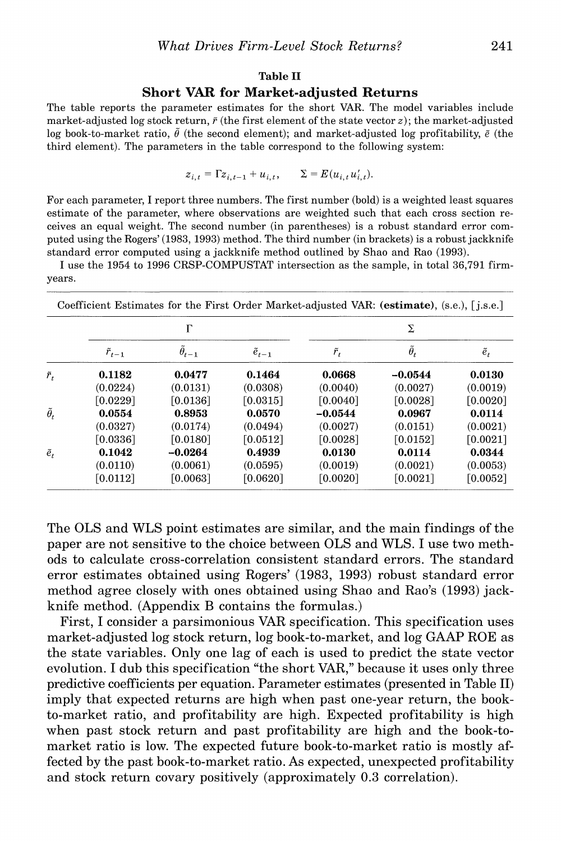# **Table II**

# **Short VAR for Market-adjusted Returns**

**The table reports the parameter estimates for the short VAR. The model variables include**  market-adjusted log stock return,  $\tilde{r}$  (the first element of the state vector  $z$ ); the market-adjusted log book-to-market ratio,  $\tilde{\theta}$  (the second element); and market-adjusted log profitability,  $\tilde{e}$  (the **third element). The parameters in the table correspond to the following system:** 

 $z_{i,t} = \Gamma z_{i,t-1} + u_{i,t}, \qquad \Sigma = E(u_{i,t} u'_{i,t}).$ 

**For each parameter, I report three numbers. The first number (bold) is a weighted least squares estimate of the parameter, where observations are weighted such that each cross section receives an equal weight. The second number (in parentheses) is a robust standard error computed using the Rogers' (1983, 1993) method. The third number (in brackets) is a robust jackknife standard error computed using a jackknife method outlined by Shao and Rao (1993).** 

**I use the 1954 to 1996 CRSP-COMPUSTAT intersection as the sample, in total 36,791 firmyears.** 

|                    |                   | Г              |                   |               | Σ                  |               |
|--------------------|-------------------|----------------|-------------------|---------------|--------------------|---------------|
|                    | $\tilde{r}_{t-1}$ | $\theta_{t-1}$ | $\tilde{e}_{t-1}$ | $\tilde{r}_t$ | $\tilde{\theta}_t$ | $\tilde{e}_t$ |
| $\tilde{r}_t$      | 0.1182            | 0.0477         | 0.1464            | 0.0668        | $-0.0544$          | 0.0130        |
|                    | (0.0224)          | (0.0131)       | (0.0308)          | (0.0040)      | (0.0027)           | (0.0019)      |
|                    | [0.0229]          | [0.0136]       | [0.0315]          | [0.0040]      | [0.0028]           | [0.0020]      |
| $\tilde{\theta}_t$ | 0.0554            | 0.8953         | 0.0570            | $-0.0544$     | 0.0967             | 0.0114        |
|                    | (0.0327)          | (0.0174)       | (0.0494)          | (0.0027)      | (0.0151)           | (0.0021)      |
|                    | [0.0336]          | [0.0180]       | [0.0512]          | [0.0028]      | [0.0152]           | [0.0021]      |
| $\tilde{e}_t$      | 0.1042            | $-0.0264$      | 0.4939            | 0.0130        | 0.0114             | 0.0344        |
|                    | (0.0110)          | (0.0061)       | (0.0595)          | (0.0019)      | (0.0021)           | (0.0053)      |
|                    | [0.0112]          | [0.0063]       | [0.0620]          | [0.0020]      | [0.0021]           | [0.0052]      |

**The OLS and WLS point estimates are similar, and the main findings of the paper are not sensitive to the choice between OLS and WLS. I use two methods to calculate cross-correlation consistent standard errors. The standard error estimates obtained using Rogers' (1983, 1993) robust standard error method agree closely with ones obtained using Shao and Rao's (1993) jackknife method. (Appendix B contains the formulas.)** 

**First, I consider a parsimonious VAR specification. This specification uses market-adjusted log stock return, log book-to-market, and log GAAP ROE as the state variables. Only one lag of each is used to predict the state vector evolution. I dub this specification "the short VAR," because it uses only three predictive coefficients per equation. Parameter estimates (presented in Table II) imply that expected returns are high when past one-year return, the bookto-market ratio, and profitability are high. Expected profitability is high when past stock return and past profitability are high and the book-tomarket ratio is low. The expected future book-to-market ratio is mostly affected by the past book-to-market ratio. As expected, unexpected profitability and stock return covary positively (approximately 0.3 correlation).**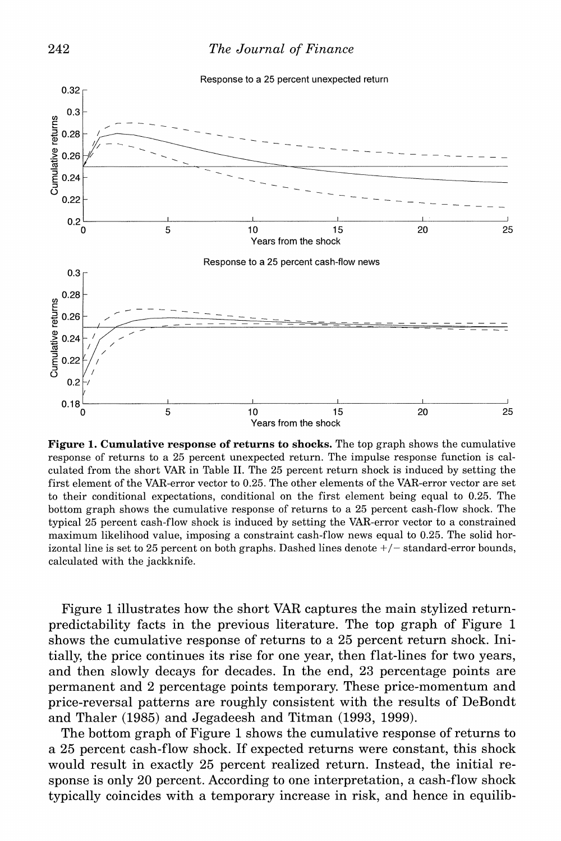



**Figure 1. Cumulative response of returns to shocks. The top graph shows the cumulative response of returns to a 25 percent unexpected return. The impulse response function is calculated from the short VAR in Table II. The 25 percent return shock is induced by setting the first element of the VAR-error vector to 0.25. The other elements of the VAR-error vector are set to their conditional expectations, conditional on the first element being equal to 0.25. The bottom graph shows the cumulative response of returns to a 25 percent cash-flow shock. The typical 25 percent cash-flow shock is induced by setting the VAR-error vector to a constrained maximum likelihood value, imposing a constraint cash-flow news equal to 0.25. The solid horizontal line is set to 25 percent on both graphs. Dashed lines denote +/- standard-error bounds, calculated with the jackknife.** 

**Figure 1 illustrates how the short VAR captures the main stylized returnpredictability facts in the previous literature. The top graph of Figure 1 shows the cumulative response of returns to a 25 percent return shock. Initially, the price continues its rise for one year, then flat-lines for two years, and then slowly decays for decades. In the end, 23 percentage points are permanent and 2 percentage points temporary. These price-momentum and price-reversal patterns are roughly consistent with the results of DeBondt and Thaler (1985) and Jegadeesh and Titman (1993, 1999).** 

**The bottom graph of Figure 1 shows the cumulative response of returns to a 25 percent cash-flow shock. If expected returns were constant, this shock would result in exactly 25 percent realized return. Instead, the initial response is only 20 percent. According to one interpretation, a cash-flow shock typically coincides with a temporary increase in risk, and hence in equilib-**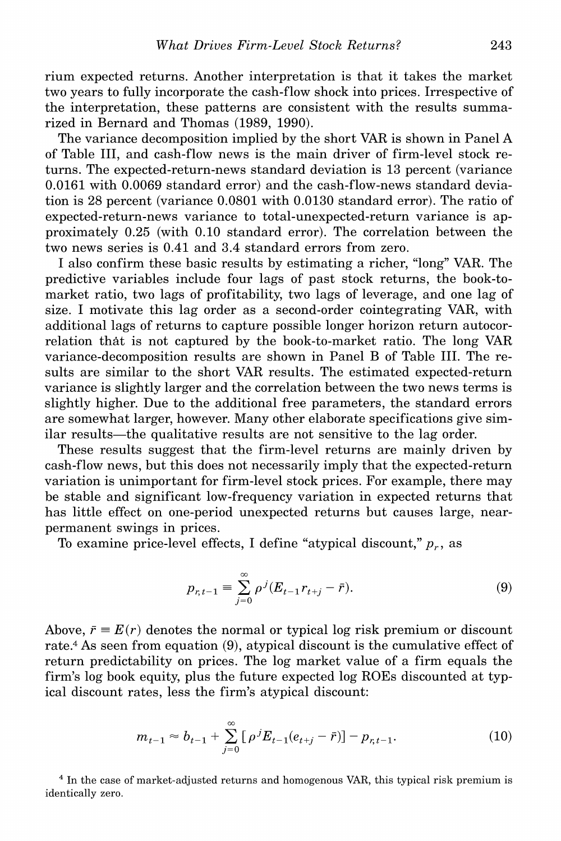**rium expected returns. Another interpretation is that it takes the market two years to fully incorporate the cash-flow shock into prices. Irrespective of the interpretation, these patterns are consistent with the results summarized in Bernard and Thomas (1989, 1990).** 

**The variance decomposition implied by the short VAR is shown in Panel A of Table III, and cash-flow news is the main driver of firm-level stock returns. The expected-return-news standard deviation is 13 percent (variance 0.0161 with 0.0069 standard error) and the cash-flow-news standard deviation is 28 percent (variance 0.0801 with 0.0130 standard error). The ratio of expected-return-news variance to total-unexpected-return variance is approximately 0.25 (with 0.10 standard error). The correlation between the two news series is 0.41 and 3.4 standard errors from zero.** 

**I also confirm these basic results by estimating a richer, "long" VAR. The predictive variables include four lags of past stock returns, the book-tomarket ratio, two lags of profitability, two lags of leverage, and one lag of size. I motivate this lag order as a second-order cointegrating VAR, with additional lags of returns to capture possible longer horizon return autocorrelation that is not captured by the book-to-market ratio. The long VAR variance-decomposition results are shown in Panel B of Table III. The results are similar to the short VAR results. The estimated expected-return variance is slightly larger and the correlation between the two news terms is slightly higher. Due to the additional free parameters, the standard errors are somewhat larger, however. Many other elaborate specifications give sim**ilar results—the qualitative results are not sensitive to the lag order.

**These results suggest that the firm-level returns are mainly driven by cash-flow news, but this does not necessarily imply that the expected-return variation is unimportant for firm-level stock prices. For example, there may be stable and significant low-frequency variation in expected returns that has little effect on one-period unexpected returns but causes large, nearpermanent swings in prices.** 

To examine price-level effects, I define "atypical discount,"  $p_r$ , as

$$
p_{r,t-1} = \sum_{j=0}^{\infty} \rho^j (E_{t-1} r_{t+j} - \bar{r}).
$$
\n(9)

Above,  $\bar{r} = E(r)$  denotes the normal or typical log risk premium or discount **rate.4 As seen from equation (9), atypical discount is the cumulative effect of return predictability on prices. The log market value of a firm equals the firm's log book equity, plus the future expected log ROEs discounted at typical discount rates, less the firm's atypical discount:** 

$$
m_{t-1} \approx b_{t-1} + \sum_{j=0}^{\infty} \left[ \rho^{j} E_{t-1} (e_{t+j} - \bar{r}) \right] - p_{r,t-1}.
$$
 (10)

**<sup>4</sup>In the case of market-adjusted returns and homogenous VAR, this typical risk premium is identically zero.**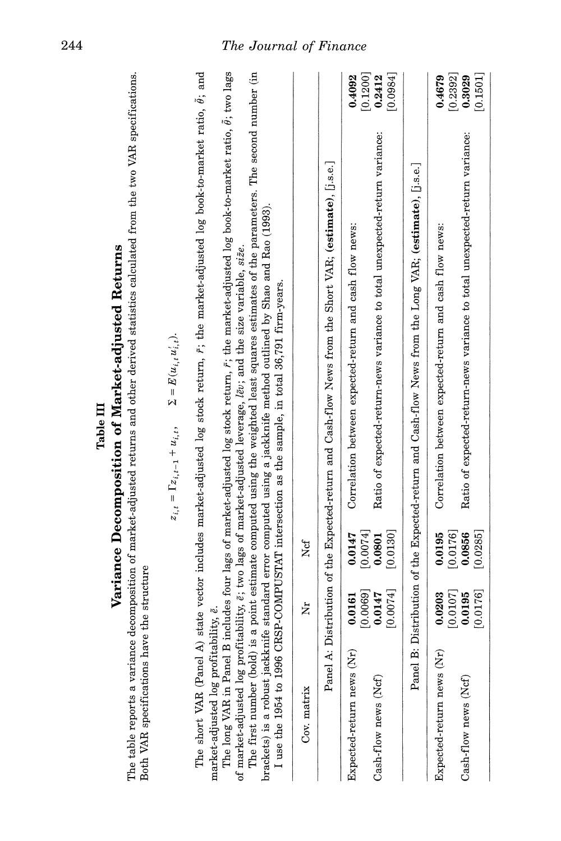| Both VAR specifications 1                                                              | have the structure              |                                 | The table reports a variance decomposition of market-adjusted returns and other derived statistics calculated from the two VAR specifications.                                                                                                                                                                                                                                                                                                   |                    |
|----------------------------------------------------------------------------------------|---------------------------------|---------------------------------|--------------------------------------------------------------------------------------------------------------------------------------------------------------------------------------------------------------------------------------------------------------------------------------------------------------------------------------------------------------------------------------------------------------------------------------------------|--------------------|
|                                                                                        |                                 |                                 | $\label{eq:sum} \Sigma = E(u_{i,t}u'_{i,t}).$<br>$z_{i,t} = \Gamma z_{i,t-1} + u_{i,t},$                                                                                                                                                                                                                                                                                                                                                         |                    |
| market-adjusted log profitability, ë.<br>The short VAR (Panel<br>The long VAR in Panel |                                 |                                 | A) state vector includes market-adjusted log stock return, $\tilde{r}$ ; the market-adjusted log book-to-market ratio, $\tilde{\theta}$ ; and<br>B includes four lags of market-adjusted log stock return, $\tilde{r}$ ; the market-adjusted log book-to-market ratio, $\tilde{\theta}$ ; two lags<br>of market-adjusted log profitability, $\tilde{e}$ ; two lags of market-adjusted leverage, $\ell \tilde{e}$ y; and the size variable, size. |                    |
| I use the 1954 to 1996                                                                 |                                 |                                 | The first number (bold) is a point estimate computed using the weighted least squares estimates of the parameters. The second number (in<br>brackets) is a robust jackknife standard error computed using a jackknife method outlined by Shao and Rao (1993).<br>CRSP-COMPUSTAT intersection as the sample, in total 36,791 firm-years.                                                                                                          |                    |
| Cov. matrix                                                                            | ż                               | Ncf                             |                                                                                                                                                                                                                                                                                                                                                                                                                                                  |                    |
|                                                                                        |                                 |                                 | Panel A: Distribution of the Expected-return and Cash-flow News from the Short VAR; (estimate), $[j.s.e.]$                                                                                                                                                                                                                                                                                                                                       |                    |
| Expected-return news (Nr)                                                              | [0.0069]<br>0.0161              | $\left[0.0074\right]$<br>0.0147 | Correlation between expected-return and cash flow news:                                                                                                                                                                                                                                                                                                                                                                                          | [0.1200]<br>0.4092 |
| Cash-flow news (Ncf)                                                                   | [0.0074]<br>0.0147              | [0.0130]<br>0.0801              | Ratio of expected-return-news variance to total unexpected-return variance:                                                                                                                                                                                                                                                                                                                                                                      | [0.0984]<br>0.2412 |
|                                                                                        |                                 |                                 | Panel B: Distribution of the Expected-return and Cash-flow News from the Long VAR; (estimate), [j.s.e.]                                                                                                                                                                                                                                                                                                                                          |                    |
| Expected-return news (Nr)                                                              | $\left[0.0107\right]$<br>0.0203 | [0.0176]<br>0.0195              | Correlation between expected-return and cash flow news:                                                                                                                                                                                                                                                                                                                                                                                          | [0.2392]<br>0.4679 |
| Cash-flow news (Ncf)                                                                   | [0.0176]<br>0.0195              | 0.0285<br>0.0856                | Ratio of expected-return-news variance to total unexpected-return variance:                                                                                                                                                                                                                                                                                                                                                                      | 0.3029<br>[0.1501] |
|                                                                                        |                                 |                                 |                                                                                                                                                                                                                                                                                                                                                                                                                                                  |                    |
|                                                                                        |                                 |                                 |                                                                                                                                                                                                                                                                                                                                                                                                                                                  |                    |

Table III

**244 The Journal of Finance**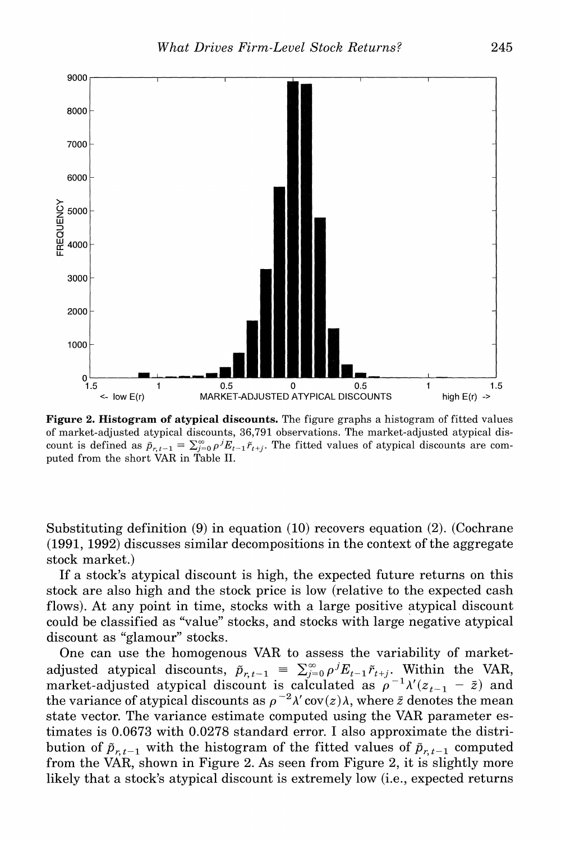

**Figure 2. Histogram of atypical discounts. The figure graphs a histogram of fitted values of market-adjusted atypical discounts, 36,791 observations. The market-adjusted atypical dis**count is defined as  $\tilde{p}_{r,t-1} = \sum_{j=0}^{\infty} \rho^j E_{t-1} \tilde{r}_{t+j}$ . The fitted values of atypical discounts are com**puted from the short VAR in Table II.** 

**Substituting definition (9) in equation (10) recovers equation (2). (Cochrane (1991, 1992) discusses similar decompositions in the context of the aggregate stock market.)** 

**If a stock's atypical discount is high, the expected future returns on this stock are also high and the stock price is low (relative to the expected cash flows). At any point in time, stocks with a large positive atypical discount could be classified as "value" stocks, and stocks with large negative atypical discount as "glamour" stocks.** 

**One can use the homogenous VAR to assess the variability of market**adjusted atypical discounts,  $\tilde{p}_{r,t-1} = \sum_{j=0}^{\infty} \rho^{j} E_{t-1} \tilde{r}_{t+j}$ . Within the VAR, market-adjusted atypical discount is calculated as  $\rho^{-1}\lambda'(z_{t-1} - \bar{z})$  and the variance of atypical discounts as  $\rho^{-2}\lambda' \text{cov}(z)\lambda$ , where  $\bar{z}$  denotes the mean **state vector. The variance estimate computed using the VAR parameter estimates is 0.0673 with 0.0278 standard error. I also approximate the distri**bution of  $\tilde{p}_{r,t-1}$  with the histogram of the fitted values of  $\tilde{p}_{r,t-1}$  computed **from the VAR, shown in Figure 2. As seen from Figure 2, it is slightly more likely that a stock's atypical discount is extremely low (i.e., expected returns**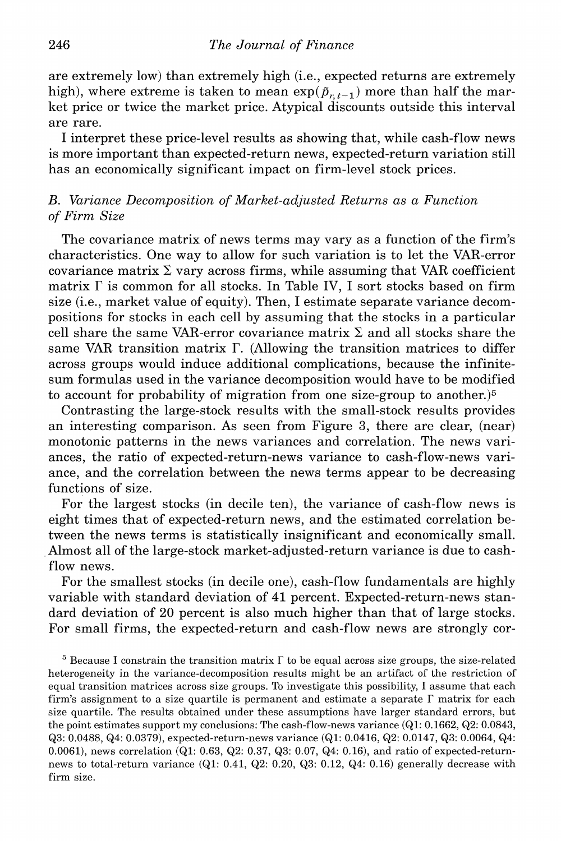**are extremely low) than extremely high (i.e., expected returns are extremely**  high), where extreme is taken to mean  $\exp(\tilde{p}_{r,t-1})$  more than half the mar**ket price or twice the market price. Atypical discounts outside this interval are rare.** 

**I interpret these price-level results as showing that, while cash-flow news is more important than expected-return news, expected-return variation still has an economically significant impact on firm-level stock prices.** 

# **B. Variance Decomposition of Market-adjusted Returns as a Function of Firm Size**

**The covariance matrix of news terms may vary as a function of the firm's characteristics. One way to allow for such variation is to let the VAR-error**  covariance matrix  $\Sigma$  vary across firms, while assuming that VAR coefficient **matrix F is common for all stocks. In Table IV, I sort stocks based on firm size (i.e., market value of equity). Then, I estimate separate variance decompositions for stocks in each cell by assuming that the stocks in a particular**  cell share the same VAR-error covariance matrix  $\Sigma$  and all stocks share the **same VAR transition matrix F. (Allowing the transition matrices to differ across groups would induce additional complications, because the infinitesum formulas used in the variance decomposition would have to be modified to account for probability of migration from one size-group to another.)5** 

**Contrasting the large-stock results with the small-stock results provides an interesting comparison. As seen from Figure 3, there are clear, (near) monotonic patterns in the news variances and correlation. The news variances, the ratio of expected-return-news variance to cash-flow-news variance, and the correlation between the news terms appear to be decreasing functions of size.** 

**For the largest stocks (in decile ten), the variance of cash-flow news is eight times that of expected-return news, and the estimated correlation between the news terms is statistically insignificant and economically small. Almost all of the large-stock market-adjusted-return variance is due to cashflow news.** 

**For the smallest stocks (in decile one), cash-flow fundamentals are highly variable with standard deviation of 41 percent. Expected-return-news standard deviation of 20 percent is also much higher than that of large stocks. For small firms, the expected-return and cash-flow news are strongly cor-**

 $5$  Because I constrain the transition matrix  $\Gamma$  to be equal across size groups, the size-related **heterogeneity in the variance-decomposition results might be an artifact of the restriction of equal transition matrices across size groups. To investigate this possibility, I assume that each**  firm's assignment to a size quartile is permanent and estimate a separate  $\Gamma$  matrix for each **size quartile. The results obtained under these assumptions have larger standard errors, but the point estimates support my conclusions: The cash-flow-news variance (Ql: 0.1662, Q2: 0.0843, Q3: 0.0488, Q4: 0.0379), expected-return-news variance (Qi: 0.0416, Q2: 0.0147, Q3: 0.0064, Q4: 0.0061), news correlation (Ql: 0.63, Q2: 0.37, Q3: 0.07, Q4: 0.16), and ratio of expected-returnnews to total-return variance (Ql: 0.41, Q2: 0.20, Q3: 0.12, Q4: 0.16) generally decrease with firm size.**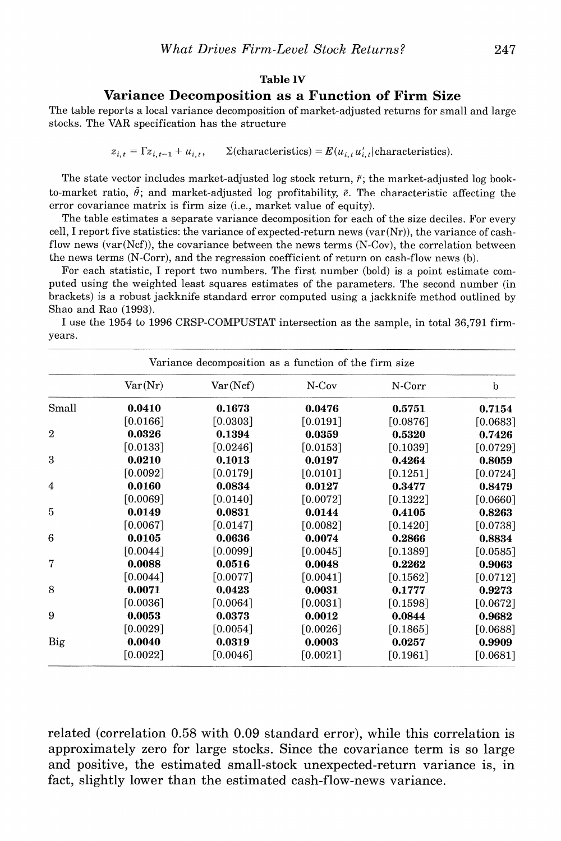#### **Table IV**

# **Variance Decomposition as a Function of Firm Size**

**The table reports a local variance decomposition of market-adjusted returns for small and large stocks. The VAR specification has the structure** 

 $z_{i,t} = \Gamma z_{i,t-1} + u_{i,t}$ ,  $\Sigma$ (characteristics) =  $E(u_{i,t}u'_{i,t})$  characteristics).

The state vector includes market-adjusted  $log$  stock return,  $\tilde{r}$ ; the market-adjusted  $log$  bookto-market ratio,  $\tilde{\theta}$ ; and market-adjusted log profitability,  $\tilde{e}$ . The characteristic affecting the **error covariance matrix is firm size (i.e., market value of equity).** 

**The table estimates a separate variance decomposition for each of the size deciles. For every cell, I report five statistics: the variance of expected-return news (var(Nr)), the variance of cashflow news (var(Ncf)), the covariance between the news terms (N-Cov), the correlation between the news terms (N-Corr), and the regression coefficient of return on cash-flow news (b).** 

**For each statistic, I report two numbers. The first number (bold) is a point estimate computed using the weighted least squares estimates of the parameters. The second number (in brackets) is a robust jackknife standard error computed using a jackknife method outlined by Shao and Rao (1993).** 

**I use the 1954 to 1996 CRSP-COMPUSTAT intersection as the sample, in total 36,791 firmyears.** 

|                |          | Variance decomposition as a function of the firm size |          |          |            |
|----------------|----------|-------------------------------------------------------|----------|----------|------------|
|                | Var(Nr)  | Var(Ncf)                                              | $N-Cov$  | N-Corr   | b          |
| Small          | 0.0410   | 0.1673                                                | 0.0476   | 0.5751   | 0.7154     |
|                | [0.0166] | [0.0303]                                              | [0.0191] | [0.0876] | [0.0683]   |
| $\overline{2}$ | 0.0326   | 0.1394                                                | 0.0359   | 0.5320   | 0.7426     |
|                | [0.0133] | [0.0246]                                              | [0.0153] | [0.1039] | $[0.0729]$ |
| 3              | 0.0210   | 0.1013                                                | 0.0197   | 0.4264   | 0.8059     |
|                | [0.0092] | [0.0179]                                              | [0.0101] | [0.1251] | [0.0724]   |
| 4              | 0.0160   | 0.0834                                                | 0.0127   | 0.3477   | 0.8479     |
|                | [0.0069] | [0.0140]                                              | [0.0072] | [0.1322] | [0.0660]   |
| 5              | 0.0149   | 0.0831                                                | 0.0144   | 0.4105   | 0.8263     |
|                | [0.0067] | [0.0147]                                              | [0.0082] | [0.1420] | [0.0738]   |
| 6              | 0.0105   | 0.0636                                                | 0.0074   | 0.2866   | 0.8834     |
|                | [0.0044] | [0.0099]                                              | [0.0045] | [0.1389] | [0.0585]   |
| $\overline{7}$ | 0.0088   | 0.0516                                                | 0.0048   | 0.2262   | 0.9063     |
|                | [0.0044] | [0.0077]                                              | [0.0041] | [0.1562] | [0.0712]   |
| 8              | 0.0071   | 0.0423                                                | 0.0031   | 0.1777   | 0.9273     |
|                | [0.0036] | $\lceil 0.0064 \rceil$                                | [0.0031] | [0.1598] | [0.0672]   |
| 9              | 0.0053   | 0.0373                                                | 0.0012   | 0.0844   | 0.9682     |
|                | [0.0029] | [0.0054]                                              | [0.0026] | [0.1865] | [0.0688]   |
| Big            | 0.0040   | 0.0319                                                | 0.0003   | 0.0257   | 0.9909     |
|                | [0.0022] | [0.0046]                                              | [0.0021] | [0.1961] | [0.0681]   |

**related (correlation 0.58 with 0.09 standard error), while this correlation is approximately zero for large stocks. Since the covariance term is so large and positive, the estimated small-stock unexpected-return variance is, in fact, slightly lower than the estimated cash-flow-news variance.**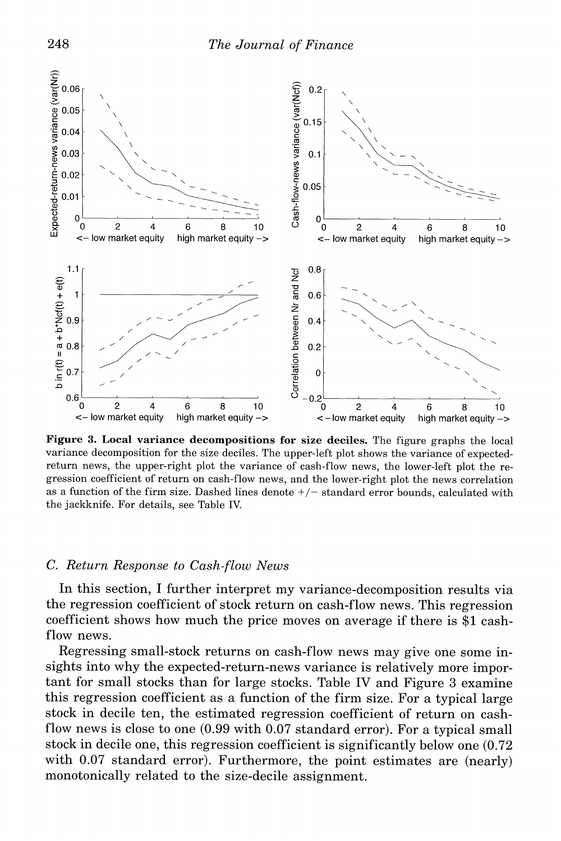

**Figure 3. Local variance decompositions for size deciles. The figure graphs the local variance decomposition for the size deciles. The upper-left plot shows the variance of expectedreturn news, the upper-right plot the variance of cash-flow news, the lower-left plot the regression coefficient of return on cash-flow news, and the lower-right plot the news correlation as a function of the firm size. Dashed lines denote +/- standard error bounds, calculated with the jackknife. For details, see Table IV.** 

# **C. Return Response to Cash-flow News**

**In this section, I further interpret my variance-decomposition results via the regression coefficient of stock return on cash-flow news. This regression coefficient shows how much the price moves on average if there is \$1 cashflow news.** 

**Regressing small-stock returns on cash-flow news may give one some insights into why the expected-return-news variance is relatively more important for small stocks than for large stocks. Table IV and Figure 3 examine this regression coefficient as a function of the firm size. For a typical large stock in decile ten, the estimated regression coefficient of return on cashflow news is close to one (0.99 with 0.07 standard error). For a typical small stock in decile one, this regression coefficient is significantly below one (0.72 with 0.07 standard error). Furthermore, the point estimates are (nearly) monotonically related to the size-decile assignment.**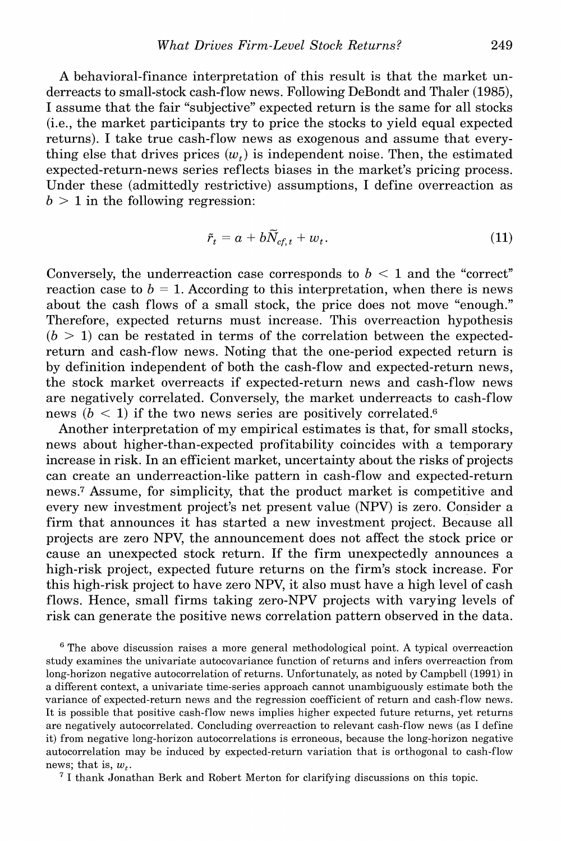**A behavioral-finance interpretation of this result is that the market underreacts to small-stock cash-flow news. Following DeBondt and Thaler (1985), I assume that the fair "subjective" expected return is the same for all stocks (i.e., the market participants try to price the stocks to yield equal expected returns). I take true cash-flow news as exogenous and assume that every**thing else that drives prices  $(w_t)$  is independent noise. Then, the estimated **expected-return-news series reflects biases in the market's pricing process. Under these (admittedly restrictive) assumptions, I define overreaction as**   $b > 1$  in the following regression:

$$
\tilde{r}_t = a + b\tilde{N}_{cf, t} + w_t. \tag{11}
$$

Conversely, the underreaction case corresponds to  $b < 1$  and the "correct" reaction case to  $b = 1$ . According to this interpretation, when there is news **about the cash flows of a small stock, the price does not move "enough." Therefore, expected returns must increase. This overreaction hypothesis**   $(b > 1)$  can be restated in terms of the correlation between the expected**return and cash-flow news. Noting that the one-period expected return is by definition independent of both the cash-flow and expected-return news, the stock market overreacts if expected-return news and cash-flow news are negatively correlated. Conversely, the market underreacts to cash-flow**  news  $(b < 1)$  if the two news series are positively correlated.<sup>6</sup>

**Another interpretation of my empirical estimates is that, for small stocks, news about higher-than-expected profitability coincides with a temporary increase in risk. In an efficient market, uncertainty about the risks of projects can create an underreaction-like pattern in cash-flow and expected-return news.7 Assume, for simplicity, that the product market is competitive and every new investment project's net present value (NPV) is zero. Consider a firm that announces it has started a new investment project. Because all projects are zero NPV, the announcement does not affect the stock price or cause an unexpected stock return. If the firm unexpectedly announces a high-risk project, expected future returns on the firm's stock increase. For this high-risk project to have zero NPV, it also must have a high level of cash flows. Hence, small firms taking zero-NPV projects with varying levels of risk can generate the positive news correlation pattern observed in the data.** 

**6 The above discussion raises a more general methodological point. A typical overreaction study examines the univariate autocovariance function of returns and infers overreaction from long-horizon negative autocorrelation of returns. Unfortunately, as noted by Campbell (1991) in a different context, a univariate time-series approach cannot unambiguously estimate both the variance of expected-return news and the regression coefficient of return and cash-flow news. It is possible that positive cash-flow news implies higher expected future returns, yet returns are negatively autocorrelated. Concluding overreaction to relevant cash-flow news (as I define it) from negative long-horizon autocorrelations is erroneous, because the long-horizon negative autocorrelation may be induced by expected-return variation that is orthogonal to cash-flow**  news; that is,  $w_t$ .

**7 I thank Jonathan Berk and Robert Merton for clarifying discussions on this topic.**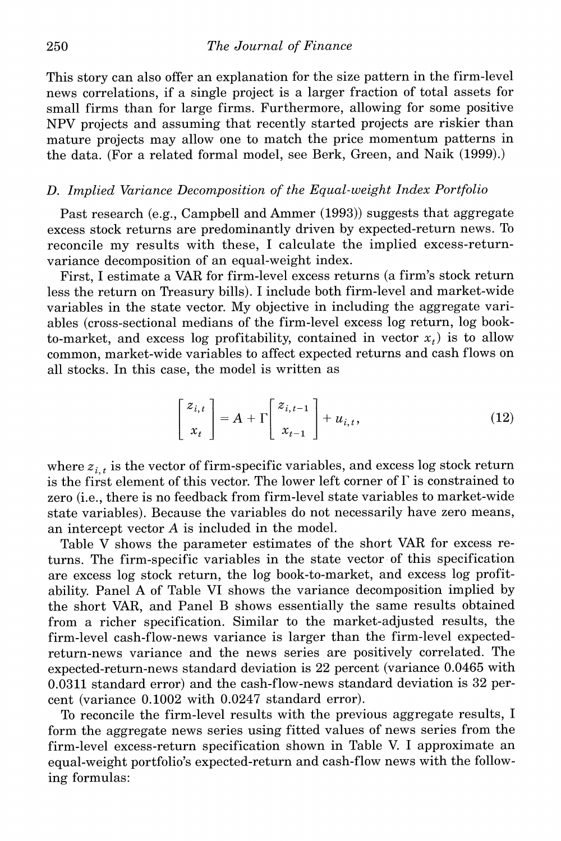**This story can also offer an explanation for the size pattern in the firm-level news correlations, if a single project is a larger fraction of total assets for small firms than for large firms. Furthermore, allowing for some positive NPV projects and assuming that recently started projects are riskier than mature projects may allow one to match the price momentum patterns in the data. (For a related formal model, see Berk, Green, and Naik (1999).)** 

# **D. Implied Variance Decomposition of the Equal-weight Index Portfolio**

**Past research (e.g., Campbell and Ammer (1993)) suggests that aggregate excess stock returns are predominantly driven by expected-return news. To reconcile my results with these, I calculate the implied excess-returnvariance decomposition of an equal-weight index.** 

**First, I estimate a VAR for firm-level excess returns (a firm's stock return less the return on Treasury bills). I include both firm-level and market-wide variables in the state vector. My objective in including the aggregate variables (cross-sectional medians of the firm-level excess log return, log book**to-market, and excess log profitability, contained in vector  $x_t$ ) is to allow **common, market-wide variables to affect expected returns and cash flows on all stocks. In this case, the model is written as** 

$$
\begin{bmatrix} z_{i,t} \\ x_t \end{bmatrix} = A + \Gamma \begin{bmatrix} z_{i,t-1} \\ x_{t-1} \end{bmatrix} + u_{i,t},
$$
 (12)

where  $z_{i,t}$  is the vector of firm-specific variables, and excess log stock return **is the first element of this vector. The lower left corner of F is constrained to zero (i.e., there is no feedback from firm-level state variables to market-wide state variables). Because the variables do not necessarily have zero means, an intercept vector A is included in the model.** 

**Table V shows the parameter estimates of the short VAR for excess returns. The firm-specific variables in the state vector -of this specification are excess log stock return, the log book-to-market, and excess log profitability. Panel A of Table VI shows the variance decomposition implied by the short VAR, and Panel B shows essentially the same results obtained from a richer specification. Similar to the market-adjusted results, the firm-level cash-flow-news variance is larger than the firm-level expectedreturn-news variance and the news series are positively correlated. The expected-return-news standard deviation is 22 percent (variance 0.0465 with 0.0311 standard error) and the cash-flow-news standard deviation is 32 percent (variance 0.1002 with 0.0247 standard error).** 

**To reconcile the firm-level results with the previous aggregate results, I form the aggregate news series using fitted values of news series from the firm-level excess-return specification shown in Table V. I approximate an equal-weight portfolio's expected-return and cash-flow news with the following formulas:**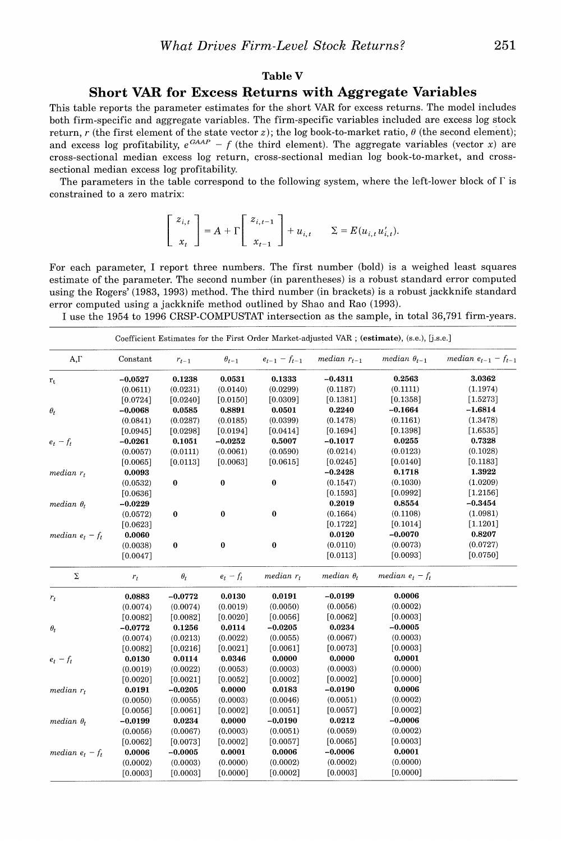#### **Table V**

#### **Short VAR for Excess Returns with Aggregate Variables**

**This table reports the parameter estimates for the short VAR for excess returns. The model includes both firm-specific and aggregate variables. The firm-specific variables included are excess log stock return, r** (the first element of the state vector z); the log book-to-market ratio,  $\theta$  (the second element); and excess log profitability,  $e^{G A A P} - f$  (the third element). The aggregate variables (vector x) are **cross-sectional median excess log return, cross-sectional median log book-to-market, and crosssectional median excess log profitability.** 

**The parameters in the table correspond to the following system, where the left-lower block of F is constrained to a zero matrix:** 

$$
\left[\begin{array}{c} z_{i,t} \\ x_t \end{array}\right] = A + \Gamma \left[\begin{array}{c} z_{i,t-1} \\ x_{t-1} \end{array}\right] + u_{i,t} \qquad \Sigma = E(u_{i,t}u'_{i,t}).
$$

**For each parameter, I report three numbers. The first number (bold) is a weighed least squares estimate of the parameter. The second number (in parentheses) is a robust standard error computed using the Rogers' (1983, 1993) method. The third number (in brackets) is a robust jackknife standard error computed using a jackknife method outlined by Shao and Rao (1993).** 

**I use the 1954 to 1996 CRSP-COMPUSTAT intersection as the sample, in total 36,791 firm-years.** 

|                      |           |            |                |                     |                   | Coefficient Estimates for the First Order Market-adjusted VAR; (estimate), (s.e.), [j.s.e.] |                            |
|----------------------|-----------|------------|----------------|---------------------|-------------------|---------------------------------------------------------------------------------------------|----------------------------|
| A,Γ                  | Constant  | $r_{t-1}$  | $\theta_{t-1}$ | $e_{t-1} - f_{t-1}$ | median $r_{t-1}$  | median $\theta_{t-1}$                                                                       | median $e_{t-1} - f_{t-1}$ |
| $\mathbf{r}_{\rm t}$ | $-0.0527$ | 0.1238     | 0.0531         | 0.1333              | $-0.4311$         | 0.2563                                                                                      | 3.0362                     |
|                      | (0.0611)  | (0.0231)   | (0.0140)       | (0.0299)            | (0.1187)          | (0.1111)                                                                                    | (1.1974)                   |
|                      | [0.0724]  | [0.0240]   | [0.0150]       | [0.0309]            | $[0.1381]$        | [0.1358]                                                                                    | $[1.5273]$                 |
| $\theta_t$           | $-0.0068$ | 0.0585     | 0.8891         | 0.0501              | 0.2240            | $-0.1664$                                                                                   | $-1.6814$                  |
|                      | (0.0841)  | (0.0287)   | (0.0185)       | (0.0399)            | (0.1478)          | (0.1161)                                                                                    | (1.3478)                   |
|                      | [0.0945]  | [0.0298]   | [0.0194]       | [0.0414]            | [0.1694]          | [0.1398]                                                                                    | $[1.6535]$                 |
| $e_t - f_t$          | $-0.0261$ | 0.1051     | $-0.0252$      | 0.5007              | $-0.1017$         | 0.0255                                                                                      | 0.7328                     |
|                      | (0.0057)  | (0.0111)   | (0.0061)       | (0.0590)            | (0.0214)          | (0.0123)                                                                                    | (0.1028)                   |
|                      | [0.0065]  | [0.0113]   | [0.0063]       | [0.0615]            | [0.0245]          | [0.0140]                                                                                    | [0.1183]                   |
| $median r_t$         | 0.0093    |            |                |                     | $-0.2428$         | 0.1718                                                                                      | 1.3922                     |
|                      | (0.0532)  | 0          | $\bf{0}$       | $\bf{0}$            | (0.1547)          | (0.1030)                                                                                    | (1.0209)                   |
|                      | [0.0636]  |            |                |                     | [0.1593]          | [0.0992]                                                                                    | $[1.2156]$                 |
| median $\theta_t$    | $-0.0229$ |            |                |                     | 0.2019            | 0.8554                                                                                      | $-0.3454$                  |
|                      | (0.0572)  | $\bf{0}$   | $\pmb{0}$      | $\bf{0}$            | (0.1664)          | (0.1108)                                                                                    | (1.0981)                   |
|                      | [0.0623]  |            |                |                     | [0.1722]          | [0.1014]                                                                                    | [1.1201]                   |
| median $e_t - f_t$   | 0.0060    |            |                |                     | 0.0120            | $-0.0070$                                                                                   | 0.8207                     |
|                      | (0.0038)  | 0          | $\bf{0}$       | $\pmb{0}$           | (0.0110)          | (0.0073)                                                                                    | (0.0727)                   |
|                      | [0.0047]  |            |                |                     | [0.0113]          | [0.0093]                                                                                    | [0.0750]                   |
| Σ                    | $r_t$     | $\theta_t$ | $e_t - f_t$    | median $r_t$        | median $\theta_t$ | median $e_t - f_t$                                                                          |                            |
| $r_t$                | 0.0883    | $-0.0772$  | 0.0130         | 0.0191              | $-0.0199$         | 0.0006                                                                                      |                            |
|                      | (0.0074)  | (0.0074)   | (0.0019)       | (0.0050)            | (0.0056)          | (0.0002)                                                                                    |                            |
|                      | [0.0082]  | [0.0082]   | [0.0020]       | [0.0056]            | [0.0062]          | [0.0003]                                                                                    |                            |
| $\theta_t$           | $-0.0772$ | 0.1256     | 0.0114         | $-0.0205$           | 0.0234            | $-0.0005$                                                                                   |                            |
|                      | (0.0074)  | (0.0213)   | (0.0022)       | (0.0055)            | (0.0067)          | (0.0003)                                                                                    |                            |
|                      | [0.0082]  | [0.0216]   | [0.0021]       | [0.0061]            | [0.0073]          | [0.0003]                                                                                    |                            |
| $e_t - f_t$          | 0.0130    | 0.0114     | 0.0346         | 0.0000              | 0.0000            | 0.0001                                                                                      |                            |
|                      | (0.0019)  | (0.0022)   | (0.0053)       | (0.0003)            | (0.0003)          | (0.0000)                                                                                    |                            |
|                      | [0.0020]  | [0.0021]   | [0.0052]       | [0.0002]            | $[0.0002]$        | [0.0000]                                                                                    |                            |
| $median r_t$         | 0.0191    | $-0.0205$  | 0.0000         | 0.0183              | $-0.0190$         | 0.0006                                                                                      |                            |
|                      | (0.0050)  | (0.0055)   | (0.0003)       | (0.0046)            | (0.0051)          | (0.0002)                                                                                    |                            |
|                      | [0.0056]  | [0.0061]   | [0.0002]       | [0.0051]            | [0.0057]          | [0.0002]                                                                                    |                            |
| median $\theta_t$    | $-0.0199$ | 0.0234     | 0.0000         | $-0.0190$           | 0.0212            | $-0.0006$                                                                                   |                            |
|                      | (0.0056)  | (0.0067)   | (0.0003)       | (0.0051)            | (0.0059)          | (0.0002)                                                                                    |                            |
|                      | [0.0062]  | [0.0073]   | [0.0002]       | [0.0057]            | [0.0065]          | [0.0003]                                                                                    |                            |
| median $e_t - f_t$   | 0.0006    | $-0.0005$  | 0.0001         | 0.0006              | $-0.0006$         | 0.0001                                                                                      |                            |
|                      | (0.0002)  | (0.0003)   | (0.0000)       | (0.0002)            | (0.0002)          | (0.0000)                                                                                    |                            |
|                      | [0.0003]  | [0.0003]   | [0.0000]       | [0.0002]            | [0.0003]          | [0.0000]                                                                                    |                            |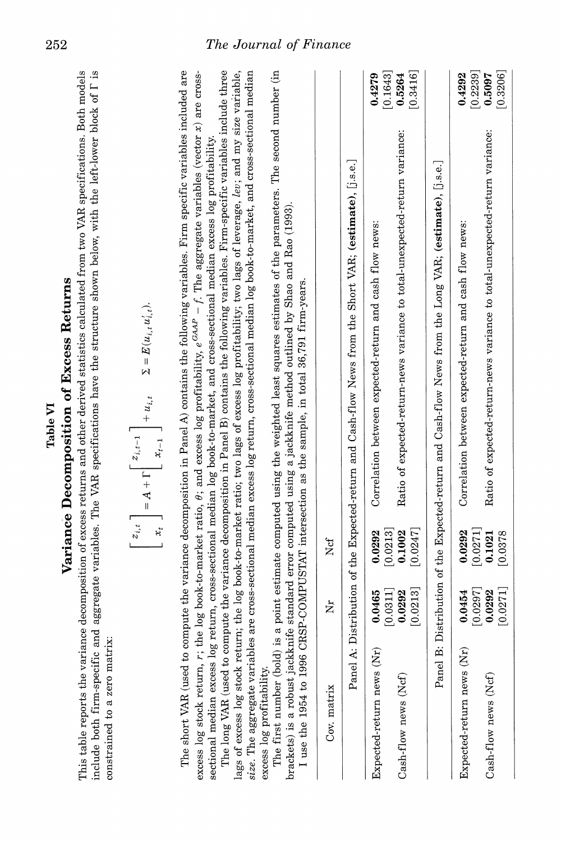| ٠ |
|---|
|   |

# **of E**\_ਰੋ **[0.0378**

**from Expected-return news (Nr) 0.0454 0.0292 Correlation between expected-return and cash**   $\mathbf{\overline{d}}$ **news: [**d. 5] **[0.0271]**   $\mathbf{E}$ **Cash-flow news**   $\sim$   $\approx$ **0.0292**   $\bullet$  . $\overline{2}$  $\overline{a}$  **R expected-return-news**   $\geq$   $\frac{1}{2}$  $\sum_{i=1}^n E_i$  and  $\sum_{i=1}^n E_i$ **variance:** 

$$
\begin{bmatrix} z_{i,t} \\ x_t \end{bmatrix} = A + \Gamma \begin{bmatrix} z_{i,t-1} \\ x_{t-1} \end{bmatrix} + u_{i,t} \qquad \Sigma = E(u_{i,t}u'_i,t).
$$
  
of a  
normalition in  $\text{Pand } A$ ) contains the following

**Panel A:**   $\mathsf{L}$  . **the and News from the Short VAR; U.s.e.] Expected-return news (Nr)**   $\frac{1}{2}$  $\frac{9}{2}$   $\frac{8}{2}$ **Correlation between expected-return**   $\mathbf{g}$  $\frac{1}{2}$ fic **news:**   $\ddot{\tilde{\mathbf{z}}}$ **[0.0213] Cash-flow expected-return-news variance total-unexpected-return variance:** 

 $\overline{\mathbf{a}}$  $\tilde{\mathbf{q}}$ **use the 1954 to 1996 as the sample, in total**  <sub>ಡ</sub> ರ <u>ਕ</u> ਰ **matrix**  .<br>.. **Ncf Distribution**   $\frac{1}{2}$  and  $\frac{1}{2}$  by  $\frac{1}{2}$ **Cash-flow (estimate),** 

| The first number (bold)<br>excess log profitability. |                                |                             | is a point estimate computed using the weighted least squares estimates of the parameters. The second number (in<br>size. The aggregate variables are cross-sectional median excess log return, cross-sectional median log book-to-market, and cross-sectional median<br>brackets) is a robust jackknife standard error computed using a jackknife method outlined by Shao and Rao (1993).<br>I use the 1954 to 1996 CRSP-COMPUSTAT intersection as the sample, in total 36,791 firm-years. |
|------------------------------------------------------|--------------------------------|-----------------------------|---------------------------------------------------------------------------------------------------------------------------------------------------------------------------------------------------------------------------------------------------------------------------------------------------------------------------------------------------------------------------------------------------------------------------------------------------------------------------------------------|
| Cov. matrix                                          | ž                              | Ncf                         |                                                                                                                                                                                                                                                                                                                                                                                                                                                                                             |
|                                                      |                                |                             | Panel A: Distribution of the Expected-return and Cash-flow News from the Short VAR; (estimate), [i.s.e.]                                                                                                                                                                                                                                                                                                                                                                                    |
| Expected-return news (Nr                             | [0.0311]<br>0.0465             | 0.0213<br>0.0292            | [0.1643]<br>0.4279<br>Correlation between expected-return and cash flow news:                                                                                                                                                                                                                                                                                                                                                                                                               |
| Cash-flow news (Ncf)                                 | [0.0213]<br>0.0292             | [0.0247]<br>0.1002          | [0.3416]<br>0.5264<br>Ratio of expected-return-news variance to total-unexpected-return variance:                                                                                                                                                                                                                                                                                                                                                                                           |
|                                                      |                                |                             | Panel B: Distribution of the Expected-return and Cash-flow News from the Long VAR; (estimate), [j.s.e.]                                                                                                                                                                                                                                                                                                                                                                                     |
| Expected-return news (Nr)                            | 0.0454                         | 0.0292                      | 0.4292<br>[0.2239]<br>Correlation between expected-return and cash flow news:                                                                                                                                                                                                                                                                                                                                                                                                               |
| Cash-flow news (Ncf)                                 | [0.0271]<br>[0.0297]<br>0.0292 | 0.0271]<br>0.1021<br>0.0378 | [0.3206]<br>0.5097<br>Ratio of expected-return-news variance to total-unexpected-return variance:                                                                                                                                                                                                                                                                                                                                                                                           |
|                                                      |                                |                             |                                                                                                                                                                                                                                                                                                                                                                                                                                                                                             |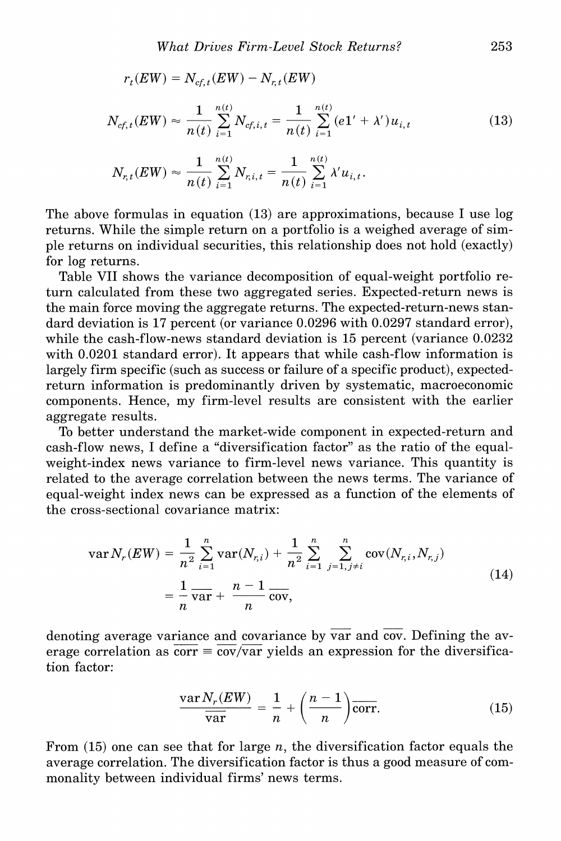$$
N_{cf,t}(EW) \approx \frac{1}{n(t)} \sum_{i=1}^{n(t)} N_{cf,i,t} = \frac{1}{n(t)} \sum_{i=1}^{n(t)} (e1' + \lambda') u_{i,t}
$$
 (13)

$$
N_{r,t}(EW) \approx \frac{1}{n(t)} \sum_{i=1}^{n(t)} N_{r,i,t} = \frac{1}{n(t)} \sum_{i=1}^{n(t)} \lambda' u_{i,t}.
$$

 $r_t(EW) = N_{cf. t}(EW) - N_{r, t}(EW)$ 

**The above formulas in equation (13) are approximations, because I use log returns. While the simple return on a portfolio is a weighed average of simple returns on individual securities, this relationship does not hold (exactly) for log returns.** 

**Table VII shows the variance decomposition of equal-weight portfolio return calculated from these two aggregated series. Expected-return news is the main force moving the aggregate returns. The expected-return-news standard deviation is 17 percent (or variance 0.0296 with 0.0297 standard error), while the cash-flow-news standard deviation is 15 percent (variance 0.0232 with 0.0201 standard error). It appears that while cash-flow information is largely firm specific (such as success or failure of a specific product), expectedreturn information is predominantly driven by systematic, macroeconomic components. Hence, my firm-level results are consistent with the earlier aggregate results.** 

**To better understand the market-wide component in expected-return and cash-flow news, I define a "diversification factor" as the ratio of the equalweight-index news variance to firm-level news variance. This quantity is related to the average correlation between the news terms. The variance of equal-weight index news can be expressed as a function of the elements of the cross-sectional covariance matrix:** 

$$
\operatorname{var} N_r(EW) = \frac{1}{n^2} \sum_{i=1}^n \operatorname{var}(N_{r,i}) + \frac{1}{n^2} \sum_{i=1}^n \sum_{j=1, j \neq i}^n \operatorname{cov}(N_{r,i}, N_{r,j})
$$
  
= 
$$
\frac{1}{n} \overline{\operatorname{var}} + \frac{n-1}{n} \overline{\operatorname{cov}},
$$
 (14)

**denoting average variance and covariance by var and coy. Defining the av**erage correlation as  $\overline{\text{corr}} = \overline{\text{cov}/\text{var}}$  yields an expression for the diversifica**tion factor:** 

$$
\frac{\text{var}\,N_r(EW)}{\overline{\text{var}}}\,=\,\frac{1}{n}+\left(\frac{n-1}{n}\right)\overline{\text{corr}}.\tag{15}
$$

**From (15) one can see that for large n, the diversification factor equals the average correlation. The diversification factor is thus a good measure of commonality between individual firms' news terms.**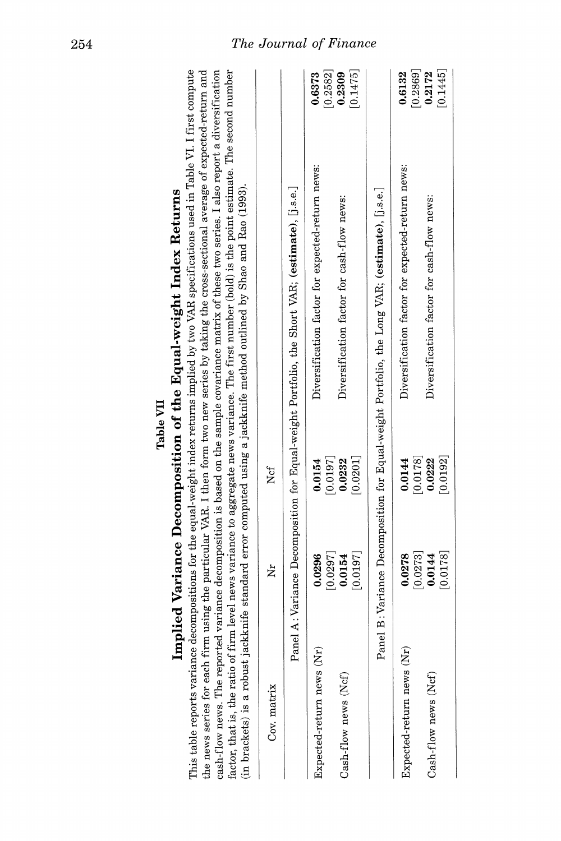| Cov. matrix               | ž                               | Ncf                             |                                                                                                 |
|---------------------------|---------------------------------|---------------------------------|-------------------------------------------------------------------------------------------------|
|                           |                                 |                                 | Panel A: Variance Decomposition for Equal-weight Portfolio, the Short VAR; (estimate), [i.s.e.] |
| Expected-return news (Nr) | [0.0297]<br>0.0296              | [0.0197]<br>0.0154              | [0.2582]<br>0.6373<br>Diversification factor for expected-return news:                          |
| Cash-flow news (Ncf)      | [0.0197]<br>0.0154              | [0.0201]<br>0.0232              | [0.1475]<br>0.2309<br>Diversification factor for cash-flow news:                                |
|                           |                                 |                                 | Panel B: Variance Decomposition for Equal-weight Portfolio, the Long VAR; (estimate), [j.s.e.]  |
| Expected-return news (Nr) | $\left[0.0273\right]$<br>0.0278 | $\left[0.0178\right]$<br>0.0144 | [0.2869]<br>0.6132<br>Diversification factor for expected-return news:                          |
| Cash-flow news (Ncf)      | [8110.0]<br>0.0144              | [0.0192]<br>0.0222              | [0.1445]<br>0.2172<br>Diversification factor for cash-flow news:                                |

# Table VII

# l,  $\mathbf{c}$ k ż p

**254 The Journal of Finance**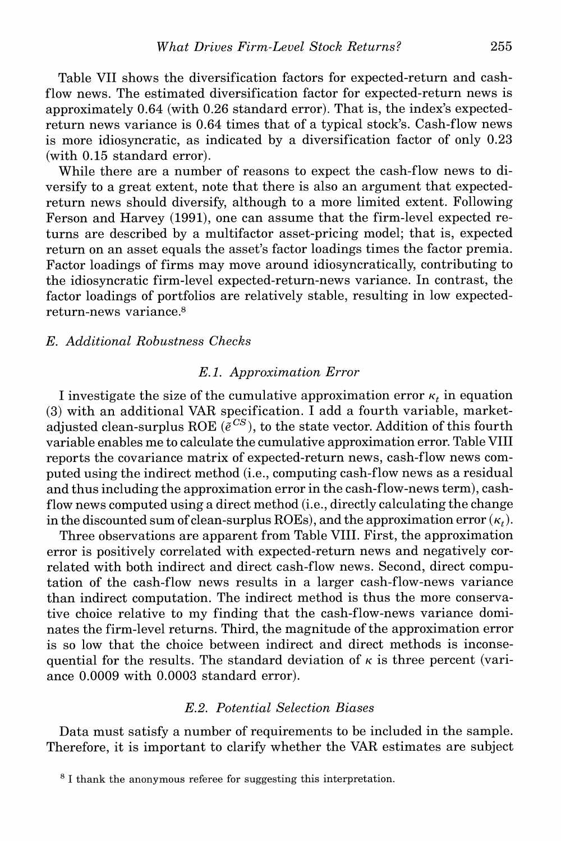**Table VII shows the diversification factors for expected-return and cashflow news. The estimated diversification factor for expected-return news is approximately 0.64 (with 0.26 standard error). That is, the index's expectedreturn news variance is 0.64 times that of a typical stock's. Cash-flow news is more idiosyncratic, as indicated by a diversification factor of only 0.23 (with 0.15 standard error).** 

**While there are a number of reasons to expect the cash-flow news to diversify to a great extent, note that there is also an argument that expectedreturn news should diversify, although to a more limited extent. Following Ferson and Harvey (1991), one can assume that the firm-level expected returns are described by a multifactor asset-pricing model; that is, expected return on an asset equals the asset's factor loadings times the factor premia. Factor loadings of firms may move around idiosyncratically, contributing to the idiosyncratic firm-level expected-return-news variance. In contrast, the factor loadings of portfolios are relatively stable, resulting in low expectedreturn-news variance.8** 

# **E. Additional Robustness Checks**

# **E. 1. Approximation Error**

**I** investigate the size of the cumulative approximation error  $\kappa_t$  in equation **(3) with an additional VAR specification. I add a fourth variable, market**adjusted clean-surplus ROE ( $\tilde{e}^{CS}$ ), to the state vector. Addition of this fourth **variable enables me to calculate the cumulative approximation error. Table VIII reports the covariance matrix of expected-return news, cash-flow news computed using the indirect method (i.e., computing cash-flow news as a residual and thus including the approximation error in the cash-flow-news term), cashflow news computed using a direct method (i.e., directly calculating the change**  in the discounted sum of clean-surplus ROEs), and the approximation error  $(\kappa_t)$ .

**Three observations are apparent from Table VIII. First, the approximation error is positively correlated with expected-return news and negatively correlated with both indirect and direct cash-flow news. Second, direct computation of the cash-flow news results in a larger cash-flow-news variance than indirect computation. The indirect method is thus the more conservative choice relative to my finding that the cash-flow-news variance dominates the firm-level returns. Third, the magnitude of the approximation error is so low that the choice between indirect and direct methods is inconse**quential for the results. The standard deviation of  $\kappa$  is three percent (vari**ance 0.0009 with 0.0003 standard error).** 

# **E.2. Potential Selection Biases**

**Data must satisfy a number of requirements to be included in the sample. Therefore, it is important to clarify whether the VAR estimates are subject** 

**<sup>8</sup> I thank the anonymous referee for suggesting this interpretation.**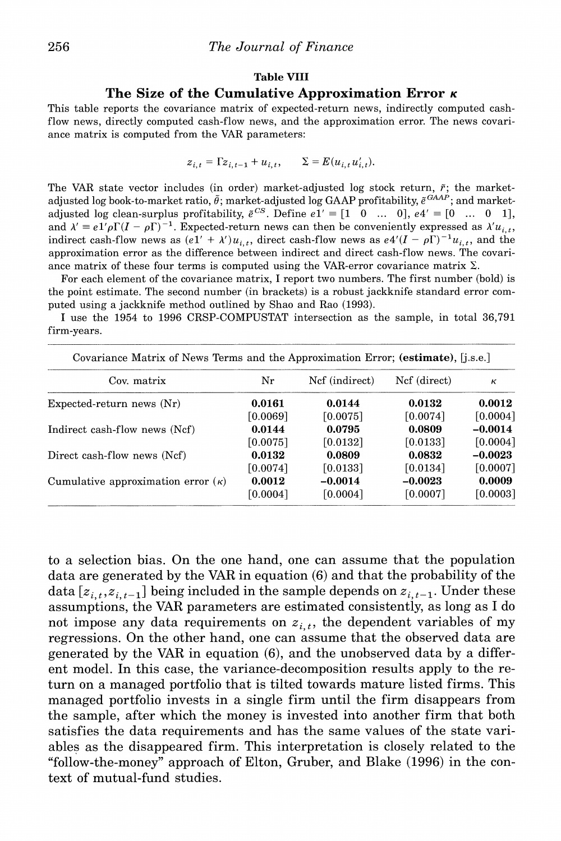#### **Table VIII**

# **The Size of the Cumulative Approximation Error K**

**This table reports the covariance matrix of expected-return news, indirectly computed cashflow news, directly computed cash-flow news, and the approximation error. The news covariance matrix is computed from the VAR parameters:** 

$$
z_{i,t} = \Gamma z_{i,t-1} + u_{i,t}, \qquad \Sigma = E(u_{i,t} u'_{i,t}).
$$

The VAR state vector includes (in order) market-adjusted log stock return,  $\tilde{r}$ ; the marketadjusted log book-to-market ratio,  $\tilde{\theta}$ ; market-adjusted log GAAP profitability,  $\tilde{e}^{GAAP}$ ; and market**adjusted log clean-surplus profitability,**  $e^{CS}$ . Define  $e^{i} = [1 \ 0 \ ... \ 0], e^{i} = [0 \ ... \ 0 \ 1],$ and  $\lambda' \equiv e\frac{1}{\rho}\Gamma(\mathbf{I} - \rho\Gamma)^{-1}$ . Expected-return news can then be conveniently expressed as  $\lambda' u_{i,t}$ , **indirect cash-flow news as**  $(e1' + \lambda')u_{i,t}$ **, direct cash-flow news as**  $e4'(I - \rho I)^{-1}u_{i,t}$ **, and the approximation error as the difference between indirect and direct cash-flow news. The covari**ance matrix of these four terms is computed using the VAR-error covariance matrix  $\Sigma$ .

**For each element of the covariance matrix, I report two numbers. The first number (bold) is the point estimate. The second number (in brackets) is a robust jackknife standard error computed using a jackknife method outlined by Shao and Rao (1993).** 

**I use the 1954 to 1996 CRSP-COMPUSTAT intersection as the sample, in total 36,791 firm-years.** 

| Covariance Matrix of News Terms and the Approximation Error; (estimate), [j.s.e.] |          |                |              |           |
|-----------------------------------------------------------------------------------|----------|----------------|--------------|-----------|
| Cov. matrix                                                                       | Nr       | Ncf (indirect) | Ncf (direct) | к         |
| Expected-return news $(Nr)$                                                       | 0.0161   | 0.0144         | 0.0132       | 0.0012    |
|                                                                                   | [0.0069] | [0.0075]       | [0.0074]     | [0.0004]  |
| Indirect cash-flow news (Ncf)                                                     | 0.0144   | 0.0795         | 0.0809       | $-0.0014$ |
|                                                                                   | [0.0075] | $[0.0132]$     | [0.0133]     | [0.0004]  |
| Direct cash-flow news (Ncf)                                                       | 0.0132   | 0.0809         | 0.0832       | $-0.0023$ |
|                                                                                   | [0.0074] | $[0.0133]$     | [0.0134]     | [0.0007]  |
| Cumulative approximation error $(\kappa)$                                         | 0.0012   | $-0.0014$      | $-0.0023$    | 0.0009    |
|                                                                                   | [0.0004] | [0.0004]       | [0.0007]     | [0.0003]  |

**to a selection bias. On the one hand, one can assume that the population data are generated by the VAR in equation (6) and that the probability of the**  data  $[z_{i,t}, z_{i,t-1}]$  being included in the sample depends on  $z_{i,t-1}$ . Under these **assumptions, the VAR parameters are estimated consistently, as long as I do**  not impose any data requirements on  $z_{i,t}$ , the dependent variables of my **regressions. On the other hand, one can assume that the observed data are generated by the VAR in equation (6), and the unobserved data by a different model. In this case, the variance-decomposition results apply to the return on a managed portfolio that is tilted towards mature listed firms. This managed portfolio invests in a single firm until the firm disappears from the sample, after which the money is invested into another firm that both satisfies the data requirements and has the same values of the state variables as the disappeared firm. This interpretation is closely related to the "follow-the-money" approach of Elton, Gruber, and Blake (1996) in the context of mutual-fund studies.**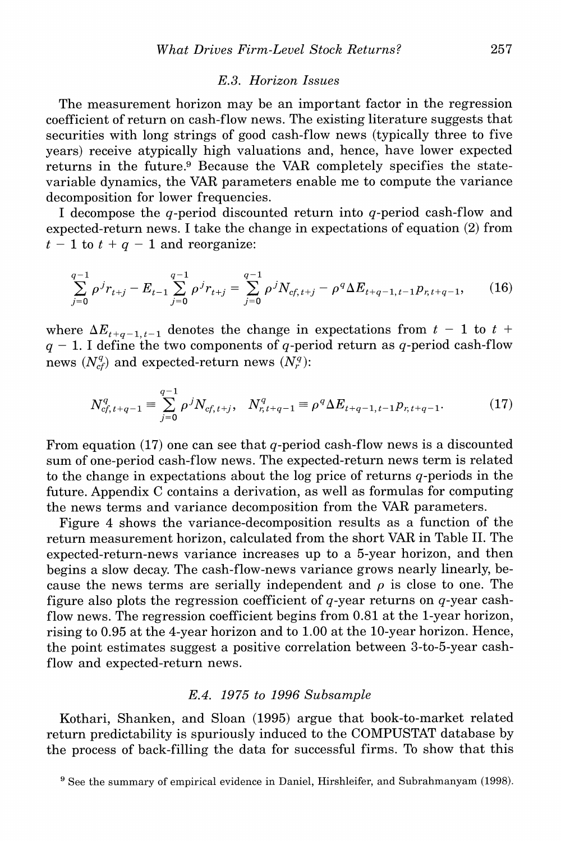# **E.3. Horizon Issues**

**The measurement horizon may be an important factor in the regression coefficient of return on cash-flow news. The existing literature suggests that securities with long strings of good cash-flow news (typically three to five years) receive atypically high valuations and, hence, have lower expected returns in the future.9 Because the VAR completely specifies the statevariable dynamics, the VAR parameters enable me to compute the variance decomposition for lower frequencies.** 

**I decompose the q-period discounted return into q-period cash-flow and expected-return news. I take the change in expectations of equation (2) from**   $t - 1$  to  $t + q - 1$  and reorganize:

$$
\sum_{j=0}^{q-1} \rho^j r_{t+j} - E_{t-1} \sum_{j=0}^{q-1} \rho^j r_{t+j} = \sum_{j=0}^{q-1} \rho^j N_{cf, t+j} - \rho^q \Delta E_{t+q-1, t-1} p_{r, t+q-1}, \qquad (16)
$$

where  $\Delta E_{t+q-1,t-1}$  denotes the change in expectations from  $t - 1$  to  $t +$  $q - 1$ . I define the two components of q-period return as q-period cash-flow news  $(N_{cf}^q)$  and expected-return news  $(N_r^q)$ :

$$
N_{cf,t+q-1}^{q} \equiv \sum_{j=0}^{q-1} \rho^j N_{cf,t+j}, \quad N_{r,t+q-1}^{q} \equiv \rho^q \Delta E_{t+q-1,t-1} p_{r,t+q-1}.
$$
 (17)

**From equation (17) one can see that q-period cash-flow news is a discounted sum of one-period cash-flow news. The expected-return news term is related to the change in expectations about the log price of returns q-periods in the future. Appendix C contains a derivation, as well as formulas for computing the news terms and variance decomposition from the VAR parameters.** 

**Figure 4 shows the variance-decomposition results as a function of the return measurement horizon, calculated from the short VAR in Table II. The expected-return-news variance increases up to a 5-year horizon, and then begins a slow decay. The cash-flow-news variance grows nearly linearly, be**cause the news terms are serially independent and  $\rho$  is close to one. The **figure also plots the regression coefficient of q-year returns on q-year cashflow news. The regression coefficient begins from 0.81 at the 1-year horizon, rising to 0.95 at the 4-year horizon and to 1.00 at the 10-year horizon. Hence, the point estimates suggest a positive correlation between 3-to-5-year cashflow and expected-return news.** 

# **E.4. 1975 to 1996 Subsample**

**Kothari, Shanken, and Sloan (1995) argue that book-to-market related return predictability is spuriously induced to the COMPUSTAT database by the process of back-filling the data for successful firms. To show that this** 

**<sup>9</sup>See the summary of empirical evidence in Daniel, Hirshleifer, and Subrahmanyam (1998).**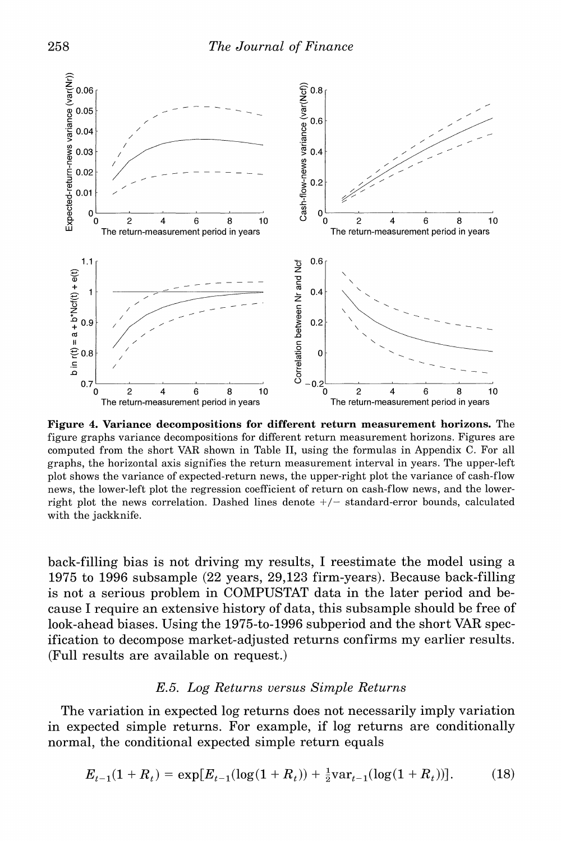

**Figure 4. Variance decompositions for different return measurement horizons. The figure graphs variance decompositions for different return measurement horizons. Figures are computed from the short VAR shown in Table II, using the formulas in Appendix C. For all graphs, the horizontal axis signifies the return measurement interval in years. The upper-left plot shows the variance of expected-return news, the upper-right plot the variance of cash-flow news, the lower-left plot the regression coefficient of return on cash-flow news, and the lower**right plot the news correlation. Dashed lines denote  $+/-$  standard-error bounds, calculated **with the jackknife.** 

**back-filling bias is not driving my results, I reestimate the model using a 1975 to 1996 subsample (22 years, 29,123 firm-years). Because back-filling is not a serious problem in COMPUSTAT data in the later period and because I require an extensive history of data, this subsample should be free of look-ahead biases. Using the 1975-to-1996 subperiod and the short VAR specification to decompose market-adjusted returns confirms my earlier results. (Full results are available on request.)** 

# **E.5. Log Returns versus Simple Returns**

**The variation in expected log returns does not necessarily imply variation in expected simple returns. For example, if log returns are conditionally normal, the conditional expected simple return equals** 

$$
E_{t-1}(1 + R_t) = \exp[E_{t-1}(\log(1 + R_t)) + \frac{1}{2}\text{var}_{t-1}(\log(1 + R_t))].
$$
 (18)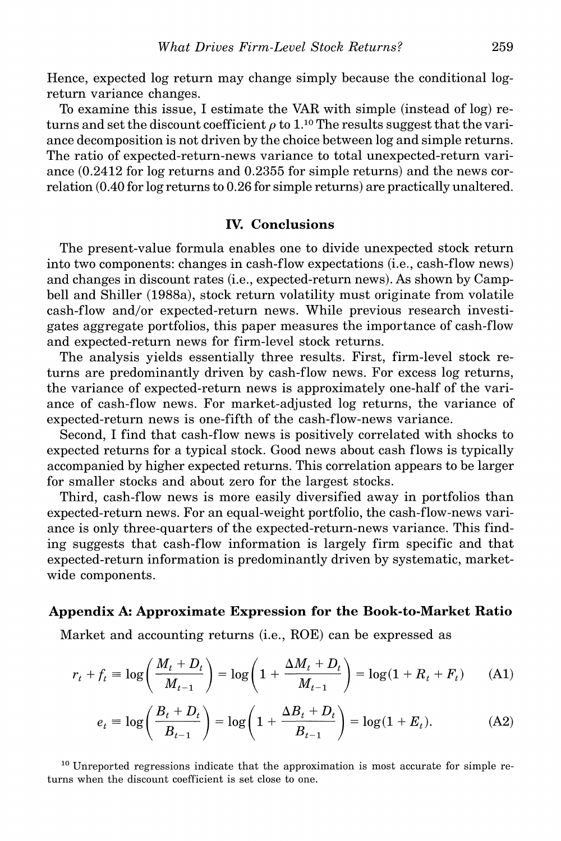**Hence, expected log return may change simply because the conditional logreturn variance changes.** 

**To examine this issue, I estimate the VAR with simple (instead of log) re**turns and set the discount coefficient  $\rho$  to 1.<sup>10</sup> The results suggest that the vari**ance decomposition is not driven by the choice between log and simple returns. The ratio of expected-return-news variance to total unexpected-return variance (0.2412 for log returns and 0.2355 for simple returns) and the news correlation (0.40 for log returns to 0.26 for simple returns) are practically unaltered.** 

# **IV. Conclusions**

**The present-value formula enables one to divide unexpected stock return into two components: changes in cash-flow expectations (i.e., cash-flow news) and changes in discount rates (i.e., expected-return news). As shown by Campbell and Shiller (1988a), stock return volatility must originate from volatile cash-flow and/or expected-return news. While previous research investigates aggregate portfolios, this paper measures the importance of cash-flow and expected-return news for firm-level stock returns.** 

**The analysis yields essentially three results. First, firm-level stock returns are predominantly driven by cash-flow news. For excess log returns, the variance of expected-return news is approximately one-half of the variance of cash-flow news. For market-adjusted log returns, the variance of expected-return news is one-fifth of the cash-flow-news variance.** 

**Second, I find that cash-flow news is positively correlated with shocks to expected returns for a typical stock. Good news about cash flows is typically accompanied by higher expected returns. This correlation appears to be larger for smaller stocks and about zero for the largest stocks.** 

**Third, cash-flow news is more easily diversified away in portfolios than expected-return news. For an equal-weight portfolio, the cash-flow-news variance is only three-quarters of the expected-return-news variance. This finding suggests that cash-flow information is largely firm specific and that expected-return information is predominantly driven by systematic, marketwide components.** 

# **Appendix A: Approximate Expression for the Book-to-Market Ratio**

**Market and accounting returns (i.e., ROE) can be expressed as** 

$$
r_{t} + f_{t} \equiv \log\left(\frac{M_{t} + D_{t}}{M_{t-1}}\right) = \log\left(1 + \frac{\Delta M_{t} + D_{t}}{M_{t-1}}\right) = \log(1 + R_{t} + F_{t}) \tag{A1}
$$

$$
e_{t} \equiv \log\left(\frac{B_{t} + D_{t}}{B_{t-1}}\right) = \log\left(1 + \frac{\Delta B_{t} + D_{t}}{B_{t-1}}\right) = \log(1 + E_{t}).
$$
 (A2)

**10 Unreported regressions indicate that the approximation is most accurate for simple returns when the discount coefficient is set close to one.**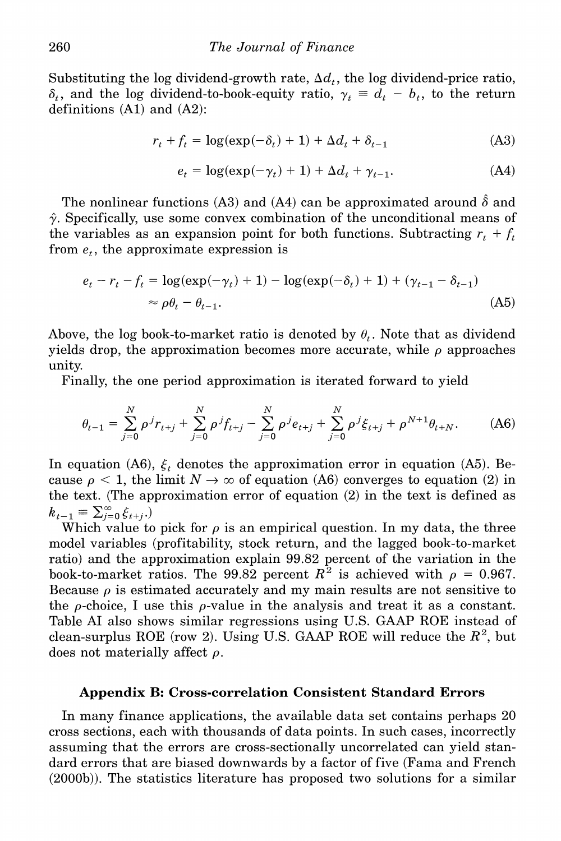Substituting the log dividend-growth rate,  $\Delta d_t$ , the log dividend-price ratio,  $\delta_t$ , and the log dividend-to-book-equity ratio,  $\gamma_t \equiv d_t - b_t$ , to the return **definitions (Al) and (A2):** 

$$
r_t + f_t = \log(\exp(-\delta_t) + 1) + \Delta d_t + \delta_{t-1}
$$
 (A3)

$$
e_t = \log(\exp(-\gamma_t) + 1) + \Delta d_t + \gamma_{t-1}.
$$
 (A4)

The nonlinear functions (A3) and (A4) can be approximated around  $\hat{\delta}$  and  $\hat{\gamma}$ . Specifically, use some convex combination of the unconditional means of the variables as an expansion point for both functions. Subtracting  $r_t + f_t$ from  $e_t$ , the approximate expression is

$$
e_t - r_t - f_t = \log(\exp(-\gamma_t) + 1) - \log(\exp(-\delta_t) + 1) + (\gamma_{t-1} - \delta_{t-1})
$$
  

$$
\approx \rho \theta_t - \theta_{t-1}.
$$
 (A5)

Above, the log book-to-market ratio is denoted by  $\theta_t$ . Note that as dividend yields drop, the approximation becomes more accurate, while  $\rho$  approaches **unity.** 

**Finally, the one period approximation is iterated forward to yield** 

$$
\theta_{t-1} = \sum_{j=0}^{N} \rho^{j} r_{t+j} + \sum_{j=0}^{N} \rho^{j} f_{t+j} - \sum_{j=0}^{N} \rho^{j} e_{t+j} + \sum_{j=0}^{N} \rho^{j} \xi_{t+j} + \rho^{N+1} \theta_{t+N}.
$$
 (A6)

In equation (A6),  $\xi_t$  denotes the approximation error in equation (A5). Because  $\rho < 1$ , the limit  $N \to \infty$  of equation (A6) converges to equation (2) in **the text. (The approximation error of equation (2) in the text is defined as**   $k_{t-1} \equiv \sum_{j=0}^{\infty} \xi_{t+j}$ .

Which value to pick for  $\rho$  is an empirical question. In my data, the three **model variables (profitability, stock return, and the lagged book-to-market ratio) and the approximation explain 99.82 percent of the variation in the**  book-to-market ratios. The 99.82 percent  $R^2$  is achieved with  $\rho = 0.967$ . Because  $\rho$  is estimated accurately and my main results are not sensitive to the  $\rho$ -choice, I use this  $\rho$ -value in the analysis and treat it as a constant. **Table Al also shows similar regressions using U.S. GAAP ROE instead of**  clean-surplus ROE (row 2). Using U.S. GAAP ROE will reduce the  $R^2$ , but **does not materially affect p.** 

# **Appendix B: Cross-correlation Consistent Standard Errors**

**In many finance applications, the available data set contains perhaps 20 cross sections, each with thousands of data points. In such cases, incorrectly assuming that the errors are cross-sectionally uncorrelated can yield standard errors that are biased downwards by a factor of five (Fama and French (2000b)). The statistics literature has proposed two solutions for a similar**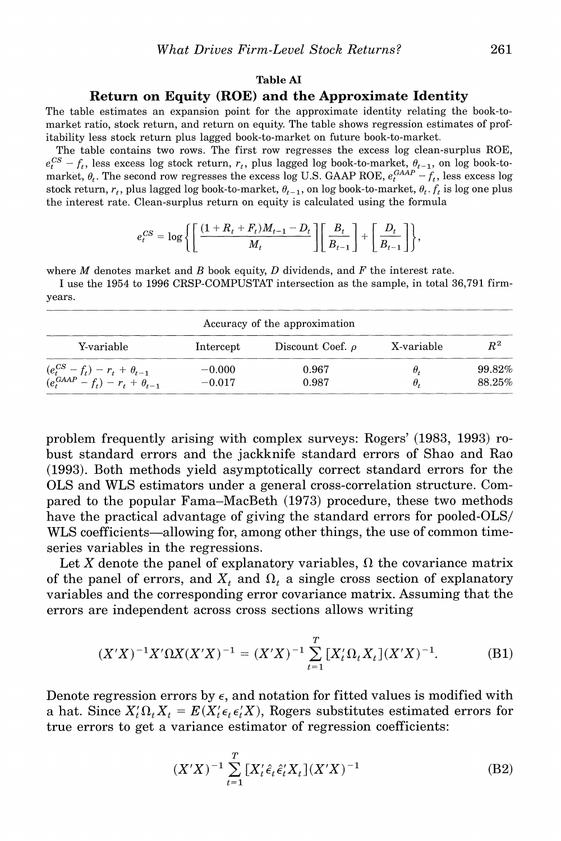#### **Table AI**

#### **Return on Equity (ROE) and the Approximate Identity**

**The table estimates an expansion point for the approximate identity relating the book-tomarket ratio, stock return, and return on equity. The table shows regression estimates of profitability less stock return plus lagged book-to-market on future book-to-market.** 

**The table contains two rows. The first row regresses the excess log clean-surplus ROE,**   $e_t^{CS} - f_t$ , less excess log stock return,  $r_t$ , plus lagged log book-to-market,  $\theta_{t-1}$ , on log book-to**market,**  $\theta_t$ **. The second row regresses the excess log U.S. GAAP ROE,**  $e_t^{GAP} - f_t$ **, less excess log stock return,**  $r_t$ **, plus lagged log book-to-market,**  $\theta_{t-1}$ **, on log book-to-market,**  $\theta_t$ **.**  $f_t$  **is log one plus the interest rate. Clean-surplus return on equity is calculated using the formula** 

$$
e_t^{CS} = \log \left\{ \left[ \frac{(1+R_t+F_t)M_{t-1}-D_t}{M_t} \right] \left[ \frac{B_t}{B_{t-1}} \right] + \left[ \frac{D_t}{B_{t-1}} \right] \right\},\,
$$

**where M denotes market and B book equity, D dividends, and F the interest rate.** 

**I use the 1954 to 1996 CRSP-COMPUSTAT intersection as the sample, in total 36,791 firmyears.** 

|                                                                                      |                      | Accuracy of the approximation |            |                  |
|--------------------------------------------------------------------------------------|----------------------|-------------------------------|------------|------------------|
| Y-variable                                                                           | Intercept            | Discount Coef. $\rho$         | X-variable | $R^2$            |
| $(e_t^{CS} - f_t) - r_t + \theta_{t-1}$<br>$(e_t^{GAAP} - f_t) - r_t + \theta_{t-1}$ | $-0.000$<br>$-0.017$ | 0.967<br>0.987                | θ.<br>θ.   | 99.82%<br>88.25% |

**problem frequently arising with complex surveys: Rogers' (1983, 1993) robust standard errors and the jackknife standard errors of Shao and Rao (1993). Both methods yield asymptotically correct standard errors for the OLS and WLS estimators under a general cross-correlation structure. Compared to the popular Fama-MacBeth (1973) procedure, these two methods have the practical advantage of giving the standard errors for pooled-OLS/ WLS coefficients-allowing for, among other things, the use of common timeseries variables in the regressions.** 

Let X denote the panel of explanatory variables,  $\Omega$  the covariance matrix of the panel of errors, and  $X_t$  and  $\Omega_t$  a single cross section of explanatory **variables and the corresponding error covariance matrix. Assuming that the errors are independent across cross sections allows writing** 

$$
(X'X)^{-1}X'\Omega X(X'X)^{-1} = (X'X)^{-1}\sum_{t=1}^{T} [X'_t\Omega_t X_t](X'X)^{-1}.
$$
 (B1)

Denote regression errors by  $\epsilon$ , and notation for fitted values is modified with **a** hat. Since  $X_t' \Omega_t X_t = E(X_t' \epsilon_t \epsilon_t' X)$ , Rogers substitutes estimated errors for **true errors to get a variance estimator of regression coefficients:** 

$$
(X'X)^{-1} \sum_{t=1}^{T} [X'_t \hat{\epsilon}_t \hat{\epsilon}'_t X_t](X'X)^{-1}
$$
 (B2)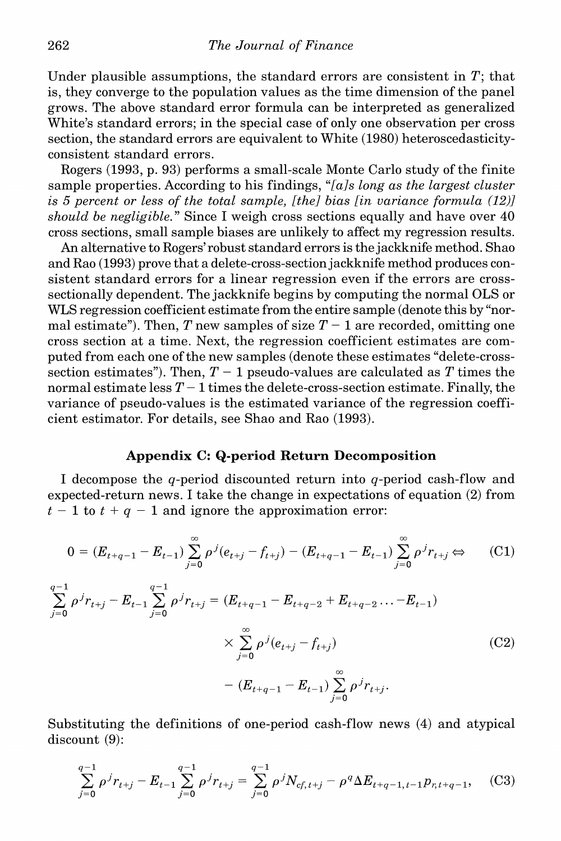**Under plausible assumptions, the standard errors are consistent in T; that is, they converge to the population values as the time dimension of the panel grows. The above standard error formula can be interpreted as generalized White's standard errors; in the special case of only one observation per cross section, the standard errors are equivalent to White (1980) heteroscedasticityconsistent standard errors.** 

**Rogers (1993, p. 93) performs a small-scale Monte Carlo study of the finite sample properties. According to his findings, "[als long as the largest cluster is 5 percent or less of the total sample, [the] bias [in variance formula (12)] should be negligible." Since I weigh cross sections equally and have over 40 cross sections, small sample biases are unlikely to affect my regression results.** 

**An alternative to Rogers' robust standard errors is the jackknife method. Shao and Rao (1993) prove that a delete-cross-sectionjackknife method produces consistent standard errors for a linear regression even if the errors are crosssectionally dependent. The jackknife begins by computing the normal OLS or WLS regression coefficient estimate from the entire sample (denote this by "nor**mal estimate"). Then, T new samples of size  $T-1$  are recorded, omitting one **cross section at a time. Next, the regression coefficient estimates are computed from each one of the new samples (denote these estimates "delete-cross**section estimates"). Then,  $T-1$  pseudo-values are calculated as T times the **normal estimate less T - 1 times the delete-cross-section estimate. Finally, the variance of pseudo-values is the estimated variance of the regression coefficient estimator. For details, see Shao and Rao (1993).** 

# **Appendix C: Q-period Return Decomposition**

**I decompose the q-period discounted return into q-period cash-flow and expected-return news. I take the change in expectations of equation (2) from**   $t - 1$  to  $t + q - 1$  and ignore the approximation error:

$$
0 = (E_{t+q-1} - E_{t-1}) \sum_{j=0}^{\infty} \rho^{j} (e_{t+j} - f_{t+j}) - (E_{t+q-1} - E_{t-1}) \sum_{j=0}^{\infty} \rho^{j} r_{t+j} \Leftrightarrow (C1)
$$

$$
\sum_{j=0}^{q-1} \rho^j r_{t+j} - E_{t-1} \sum_{j=0}^{q-1} \rho^j r_{t+j} = (E_{t+q-1} - E_{t+q-2} + E_{t+q-2} \dots - E_{t-1})
$$
  

$$
\times \sum_{j=0}^{\infty} \rho^j (e_{t+j} - f_{t+j})
$$
 (C2)  

$$
- (E_{t+q-1} - E_{t-1}) \sum_{j=0}^{\infty} \rho^j r_{t+j}.
$$

**Substituting the definitions of one-period cash-flow news (4) and atypical discount (9):** 

$$
\sum_{j=0}^{q-1} \rho^j r_{t+j} - E_{t-1} \sum_{j=0}^{q-1} \rho^j r_{t+j} = \sum_{j=0}^{q-1} \rho^j N_{cf, t+j} - \rho^q \Delta E_{t+q-1, t-1} p_{r, t+q-1}, \quad (C3)
$$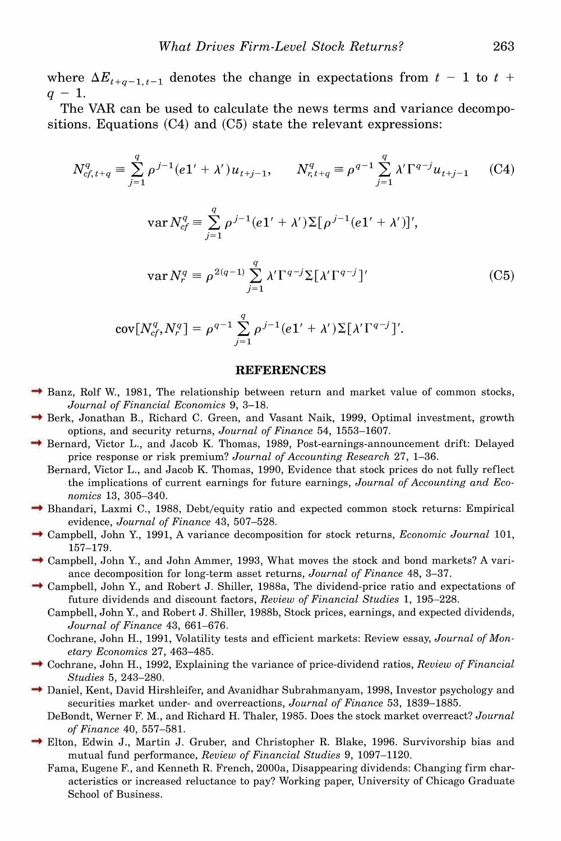where  $\Delta E_{t+q-1,t-1}$  denotes the change in expectations from  $t - 1$  to  $t +$  $q - 1$ .

**The VAR can be used to calculate the news terms and variance decompositions. Equations (C4) and (C5) state the relevant expressions:** 

$$
N_{cf,t+q}^q \equiv \sum_{j=1}^q \rho^{j-1} (e1' + \lambda') u_{t+j-1}, \qquad N_{r,t+q}^q \equiv \rho^{q-1} \sum_{j=1}^q \lambda' \Gamma^{q-j} u_{t+j-1} \tag{C4}
$$

$$
\text{var}\,N_{cf}^q = \sum_{j=1}^q \rho^{j-1}(e1' + \lambda')\Sigma[\rho^{j-1}(e1' + \lambda')]',
$$

$$
\operatorname{var} N_r^q \equiv \rho^{2(q-1)} \sum_{j=1}^q \lambda' \Gamma^{q-j} \Sigma [\lambda' \Gamma^{q-j}]'
$$
 (C5)

$$
cov[N_{cf}^q, N_r^q] = \rho^{q-1} \sum_{j=1}^q \rho^{j-1} (e1' + \lambda') \Sigma[\lambda' \Gamma^{q-j}].
$$

#### **REFERENCES**

- **→ Banz, Rolf W., 1981, The relationship between return and market value of common stocks, Journal of Financial Economics 9, 3-18.**
- **Berk, Jonathan B., Richard C. Green, and Vasant Naik, 1999, Optimal investment, growth options, and security returns, Journal of Finance 54, 1553-1607.**
- **Bernard, Victor L., and Jacob K. Thomas, 1989, Post-earnings-announcement drift: Delayed price response or risk premium? Journal of Accounting Research 27, 1-36.** 
	- **Bernard, Victor L., and Jacob K. Thomas, 1990, Evidence that stock prices do not fully reflect the implications of current earnings for future earnings, Journal of Accounting and Economics 13, 305-340.**
- **Bhandari, Laxmi C., 1988, Debt/equity ratio and expected common stock returns: Empirical evidence, Journal of Finance 43, 507-528.**
- **Campbell, John Y., 1991, A variance decomposition for stock returns, Economic Journal 101, 157-179.**
- **→ Campbell, John Y., and John Ammer, 1993, What moves the stock and bond markets? A variance decomposition for long-term asset returns, Journal of Finance 48, 3-37.**
- **Campbell, John Y., and Robert J. Shiller, 1988a, The dividend-price ratio and expectations of future dividends and discount factors, Review of Financial Studies 1, 195-228.** 
	- **Campbell, John Y., and Robert J. Shiller, 1988b, Stock prices, earnings, and expected dividends, Journal of Finance 43, 661-676.**
	- **Cochrane, John H., 1991, Volatility tests and efficient markets: Review essay, Journal of Monetary Economics 27, 463-485.**
- **Cochrane, John H., 1992, Explaining the variance of price-dividend ratios, Review of Financial Studies 5, 243-280.**
- → Daniel, Kent, David Hirshleifer, and Avanidhar Subrahmanyam, 1998, Investor psychology and **securities market under- and overreactions, Journal of Finance 53, 1839-1885.** 
	- **DeBondt, Werner F. M., and Richard H. Thaler, 1985. Does the stock market overreact? Journal of Finance 40, 557-581.**
- **Elton, Edwin J., Martin J. Gruber, and Christopher R. Blake, 1996. Survivorship bias and mutual fund performance, Review of Financial Studies 9, 1097-1120.** 
	- **Fama, Eugene F., and Kenneth R. French, 2000a, Disappearing dividends: Changing firm characteristics or increased reluctance to pay? Working paper, University of Chicago Graduate School of Business.**